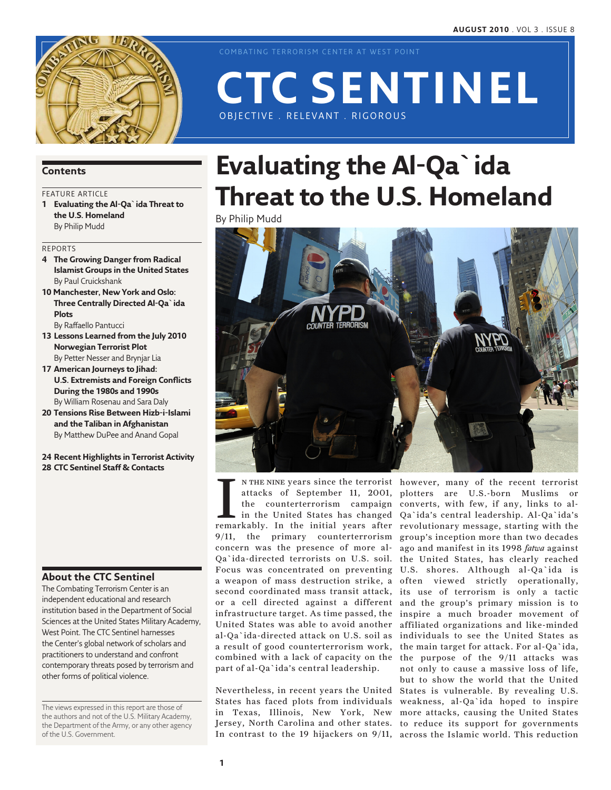

COMBATING TERRORISM CENTER AT WEST POINT

# OBJECTIVE . RELEVANT . RIGOROUS

**CTC Sentinel** 

# **Contents**

# FEATURE ARTICLE

**1 Evaluating the Al-Qa`ida Threat to the U.S. Homeland** By Philip Mudd

### Reports

- **4 The Growing Danger from Radical Islamist Groups in the United States** By Paul Cruickshank
- **10 Manchester, New York and Oslo: Three Centrally Directed Al-Qa`ida Plots**

By Raffaello Pantucci

- **13 Lessons Learned from the July 2010 Norwegian Terrorist Plot** By Petter Nesser and Brynjar Lia
- **17 American Journeys to Jihad: U.S. Extremists and Foreign Conflicts During the 1980s and 1990s**  By William Rosenau and Sara Daly
- **20 Tensions Rise Between Hizb-i-Islami and the Taliban in Afghanistan** By Matthew DuPee and Anand Gopal

**24 Recent Highlights in Terrorist Activity 28 CTC Sentinel Staff & Contacts**

### **About the CTC Sentinel**

The Combating Terrorism Center is an independent educational and research institution based in the Department of Social Sciences at the United States Military Academy, West Point. The CTC Sentinel harnesses the Center's global network of scholars and practitioners to understand and confront contemporary threats posed by terrorism and other forms of political violence.

The views expressed in this report are those of the authors and not of the U.S. Military Academy, the Department of the Army, or any other agency of the U.S. Government.

# **Evaluating the Al-Qa`ida Threat to the U.S. Homeland**

By Philip Mudd



IM THE NINE years since the terrorist<br>attacks of September 11, 2001,<br>the counterterrorism campaign<br>in the United States has changed<br>remarkably. In the initial years after in the United States has changed 9/11, the primary counterterrorism concern was the presence of more al-Qa`ida-directed terrorists on U.S. soil. a weapon of mass destruction strike, a second coordinated mass transit attack, or a cell directed against a different United States was able to avoid another al-Qa`ida-directed attack on U.S. soil as a result of good counterterrorism work, combined with a lack of capacity on the part of al-Qa`ida's central leadership.

Nevertheless, in recent years the United States has faced plots from individuals in Texas, Illinois, New York, New In contrast to the 19 hijackers on 9/11, across the Islamic world. This reduction

n the nine years since the terrorist however, many of the recent terrorist attacks of September 11, 2001, plotters are U.S.-born Muslims or the counterterrorism campaign converts, with few, if any, links to al-Focus was concentrated on preventing U.S. shores. Although al-Qa`ida is infrastructure target. As time passed, the inspire a much broader movement of Jersey, North Carolina and other states. to reduce its support for governments Qa`ida's central leadership. Al-Qa`ida's revolutionary message, starting with the group's inception more than two decades ago and manifest in its 1998 *fatwa* against the United States, has clearly reached often viewed strictly operationally, its use of terrorism is only a tactic and the group's primary mission is to affiliated organizations and like-minded individuals to see the United States as the main target for attack. For al-Qa`ida, the purpose of the 9/11 attacks was not only to cause a massive loss of life, but to show the world that the United States is vulnerable. By revealing U.S. weakness, al-Qa`ida hoped to inspire more attacks, causing the United States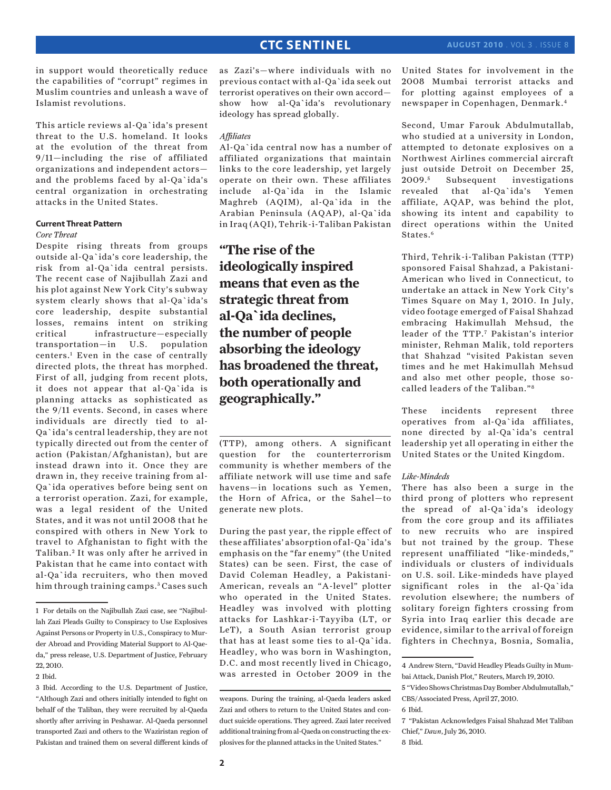in support would theoretically reduce the capabilities of "corrupt" regimes in Muslim countries and unleash a wave of Islamist revolutions.

This article reviews al-Qa`ida's present threat to the U.S. homeland. It looks at the evolution of the threat from 9/11—including the rise of affiliated organizations and independent actors and the problems faced by al-Qa`ida's central organization in orchestrating attacks in the United States.

### **Current Threat Pattern**

### *Core Threat*

Despite rising threats from groups outside al-Qa`ida's core leadership, the risk from al-Qa`ida central persists. The recent case of Najibullah Zazi and his plot against New York City's subway system clearly shows that al-Qa`ida's core leadership, despite substantial losses, remains intent on striking critical infrastructure—especially transportation—in U.S. population centers.1 Even in the case of centrally directed plots, the threat has morphed. First of all, judging from recent plots, it does not appear that al-Qa`ida is planning attacks as sophisticated as the 9/11 events. Second, in cases where individuals are directly tied to al-Qa`ida's central leadership, they are not typically directed out from the center of action (Pakistan/Afghanistan), but are instead drawn into it. Once they are drawn in, they receive training from al-Qa`ida operatives before being sent on a terrorist operation. Zazi, for example, was a legal resident of the United States, and it was not until 2008 that he conspired with others in New York to travel to Afghanistan to fight with the Taliban.<sup>2</sup> It was only after he arrived in Pakistan that he came into contact with al-Qa`ida recruiters, who then moved him through training camps.<sup>3</sup> Cases such

as Zazi's—where individuals with no previous contact with al-Qa`ida seek out terrorist operatives on their own accord show how al-Qa`ida's revolutionary ideology has spread globally.

### *Affiliates*

Al-Qa`ida central now has a number of affiliated organizations that maintain links to the core leadership, yet largely operate on their own. These affiliates include al-Qa`ida in the Islamic Maghreb (AQIM), al-Qa`ida in the Arabian Peninsula (AQAP), al-Qa`ida in Iraq (AQI), Tehrik-i-Taliban Pakistan

**"The rise of the ideologically inspired means that even as the strategic threat from al-Qa`ida declines, the number of people absorbing the ideology has broadened the threat, both operationally and geographically."**

(TTP), among others. A significant question for the counterterrorism community is whether members of the affiliate network will use time and safe havens—in locations such as Yemen, the Horn of Africa, or the Sahel—to generate new plots.

During the past year, the ripple effect of these affiliates' absorption of al-Qa`ida's emphasis on the "far enemy" (the United States) can be seen. First, the case of David Coleman Headley, a Pakistani-American, reveals an "A-level" plotter who operated in the United States. Headley was involved with plotting attacks for Lashkar-i-Tayyiba (LT, or LeT), a South Asian terrorist group that has at least some ties to al-Qa`ida. Headley, who was born in Washington, D.C. and most recently lived in Chicago, was arrested in October 2009 in the United States for involvement in the 2008 Mumbai terrorist attacks and for plotting against employees of a newspaper in Copenhagen, Denmark.4

Second, Umar Farouk Abdulmutallab, who studied at a university in London, attempted to detonate explosives on a Northwest Airlines commercial aircraft just outside Detroit on December 25,  $2009.<sup>5</sup>$  Subsequent investigations revealed that al-Qa`ida's Yemen affiliate, AQAP, was behind the plot, showing its intent and capability to direct operations within the United States.<sup>6</sup>

Third, Tehrik-i-Taliban Pakistan (TTP) sponsored Faisal Shahzad, a Pakistani-American who lived in Connecticut, to undertake an attack in New York City's Times Square on May 1, 2010. In July, video footage emerged of Faisal Shahzad embracing Hakimullah Mehsud, the leader of the TTP.7 Pakistan's interior minister, Rehman Malik, told reporters that Shahzad "visited Pakistan seven times and he met Hakimullah Mehsud and also met other people, those socalled leaders of the Taliban."8

These incidents represent three operatives from al-Qa`ida affiliates, none directed by al-Qa`ida's central leadership yet all operating in either the United States or the United Kingdom.

### *Like-Mindeds*

There has also been a surge in the third prong of plotters who represent the spread of al-Qa`ida's ideology from the core group and its affiliates to new recruits who are inspired but not trained by the group. These represent unaffiliated "like-mindeds," individuals or clusters of individuals on U.S. soil. Like-mindeds have played significant roles in the al-Qa`ida revolution elsewhere; the numbers of solitary foreign fighters crossing from Syria into Iraq earlier this decade are evidence, similar to the arrival of foreign fighters in Chechnya, Bosnia, Somalia,

<sup>1</sup> For details on the Najibullah Zazi case, see "Najibullah Zazi Pleads Guilty to Conspiracy to Use Explosives Against Persons or Property in U.S., Conspiracy to Murder Abroad and Providing Material Support to Al-Qaeda," press release, U.S. Department of Justice, February 22, 2010.

<sup>2</sup> Ibid.

<sup>3</sup> Ibid. According to the U.S. Department of Justice, "Although Zazi and others initially intended to fight on behalf of the Taliban, they were recruited by al-Qaeda shortly after arriving in Peshawar. Al-Qaeda personnel transported Zazi and others to the Waziristan region of Pakistan and trained them on several different kinds of

weapons. During the training, al-Qaeda leaders asked Zazi and others to return to the United States and conduct suicide operations. They agreed. Zazi later received additional training from al-Qaeda on constructing the explosives for the planned attacks in the United States."

<sup>4</sup> Andrew Stern, "David Headley Pleads Guilty in Mumbai Attack, Danish Plot," Reuters, March 19, 2010.

<sup>5 &</sup>quot;Video Shows Christmas Day Bomber Abdulmutallab," CBS/Associated Press, April 27, 2010.

<sup>6</sup> Ibid.

<sup>7 &</sup>quot;Pakistan Acknowledges Faisal Shahzad Met Taliban Chief," *Dawn*, July 26, 2010.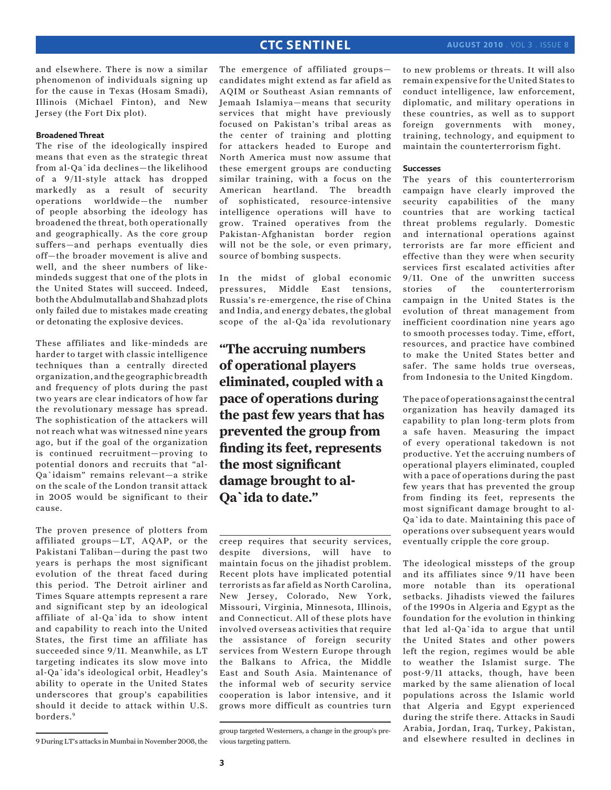and elsewhere. There is now a similar phenomenon of individuals signing up for the cause in Texas (Hosam Smadi), Illinois (Michael Finton), and New Jersey (the Fort Dix plot).

### **Broadened Threat**

The rise of the ideologically inspired means that even as the strategic threat from al-Qa`ida declines—the likelihood of a 9/11-style attack has dropped markedly as a result of security operations worldwide—the number of people absorbing the ideology has broadened the threat, both operationally and geographically. As the core group suffers—and perhaps eventually dies off—the broader movement is alive and well, and the sheer numbers of likemindeds suggest that one of the plots in the United States will succeed. Indeed, both the Abdulmutallab and Shahzad plots only failed due to mistakes made creating or detonating the explosive devices.

These affiliates and like-mindeds are harder to target with classic intelligence techniques than a centrally directed organization, and the geographic breadth and frequency of plots during the past two years are clear indicators of how far the revolutionary message has spread. The sophistication of the attackers will not reach what was witnessed nine years ago, but if the goal of the organization is continued recruitment—proving to potential donors and recruits that "al-Qa`idaism" remains relevant—a strike on the scale of the London transit attack in 2005 would be significant to their cause.

The proven presence of plotters from affiliated groups—LT, AQAP, or the Pakistani Taliban—during the past two years is perhaps the most significant evolution of the threat faced during this period. The Detroit airliner and Times Square attempts represent a rare and significant step by an ideological affiliate of al-Qa`ida to show intent and capability to reach into the United States, the first time an affiliate has succeeded since 9/11. Meanwhile, as LT targeting indicates its slow move into al-Qa`ida's ideological orbit, Headley's ability to operate in the United States underscores that group's capabilities should it decide to attack within U.S. borders.9

The emergence of affiliated groups candidates might extend as far afield as AQIM or Southeast Asian remnants of Jemaah Islamiya—means that security services that might have previously focused on Pakistan's tribal areas as the center of training and plotting for attackers headed to Europe and North America must now assume that these emergent groups are conducting similar training, with a focus on the American heartland. The breadth of sophisticated, resource-intensive intelligence operations will have to grow. Trained operatives from the Pakistan-Afghanistan border region will not be the sole, or even primary, source of bombing suspects.

In the midst of global economic pressures, Middle East tensions, Russia's re-emergence, the rise of China and India, and energy debates, the global scope of the al-Qa`ida revolutionary

**"The accruing numbers of operational players eliminated, coupled with a pace of operations during the past few years that has prevented the group from finding its feet, represents the most significant damage brought to al-Qa`ida to date."**

creep requires that security services, despite diversions, will have to maintain focus on the jihadist problem. Recent plots have implicated potential terrorists as far afield as North Carolina, New Jersey, Colorado, New York, Missouri, Virginia, Minnesota, Illinois, and Connecticut. All of these plots have involved overseas activities that require the assistance of foreign security services from Western Europe through the Balkans to Africa, the Middle East and South Asia. Maintenance of the informal web of security service cooperation is labor intensive, and it grows more difficult as countries turn

to new problems or threats. It will also remain expensive for the United States to conduct intelligence, law enforcement, diplomatic, and military operations in these countries, as well as to support foreign governments with money, training, technology, and equipment to maintain the counterterrorism fight.

### **Successes**

The years of this counterterrorism campaign have clearly improved the security capabilities of the many countries that are working tactical threat problems regularly. Domestic and international operations against terrorists are far more efficient and effective than they were when security services first escalated activities after 9/11. One of the unwritten success stories of the counterterrorism campaign in the United States is the evolution of threat management from inefficient coordination nine years ago to smooth processes today. Time, effort, resources, and practice have combined to make the United States better and safer. The same holds true overseas, from Indonesia to the United Kingdom.

The pace of operations against the central organization has heavily damaged its capability to plan long-term plots from a safe haven. Measuring the impact of every operational takedown is not productive. Yet the accruing numbers of operational players eliminated, coupled with a pace of operations during the past few years that has prevented the group from finding its feet, represents the most significant damage brought to al-Qa`ida to date. Maintaining this pace of operations over subsequent years would eventually cripple the core group.

The ideological missteps of the group and its affiliates since 9/11 have been more notable than its operational setbacks. Jihadists viewed the failures of the 1990s in Algeria and Egypt as the foundation for the evolution in thinking that led al-Qa`ida to argue that until the United States and other powers left the region, regimes would be able to weather the Islamist surge. The post-9/11 attacks, though, have been marked by the same alienation of local populations across the Islamic world that Algeria and Egypt experienced during the strife there. Attacks in Saudi Arabia, Jordan, Iraq, Turkey, Pakistan, and elsewhere resulted in declines in

group targeted Westerners, a change in the group's previous targeting pattern.

<sup>9</sup> During LT's attacks in Mumbai in November 2008, the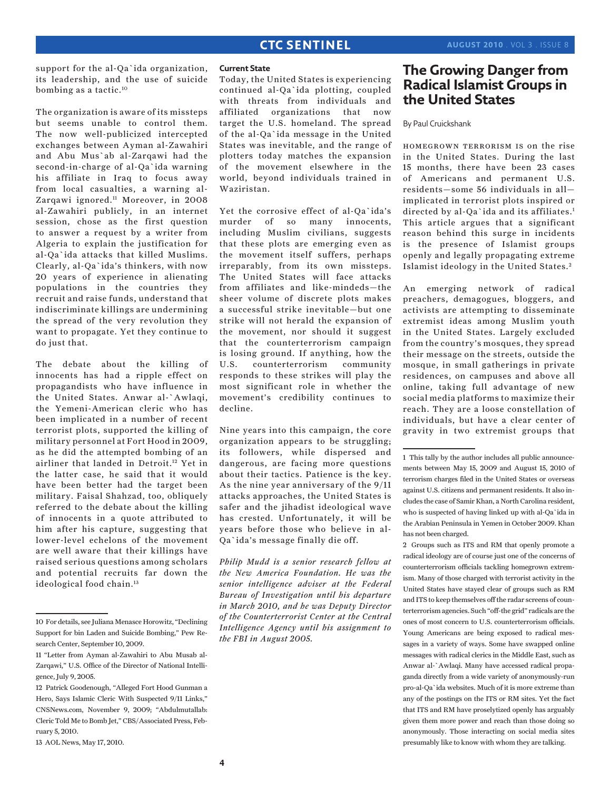support for the al-Qa`ida organization, its leadership, and the use of suicide bombing as a tactic.10

The organization is aware of its missteps but seems unable to control them. The now well-publicized intercepted exchanges between Ayman al-Zawahiri and Abu Mus`ab al-Zarqawi had the second-in-charge of al-Qa`ida warning his affiliate in Iraq to focus away from local casualties, a warning al-Zarqawi ignored.<sup>11</sup> Moreover, in 2008 al-Zawahiri publicly, in an internet session, chose as the first question to answer a request by a writer from Algeria to explain the justification for al-Qa`ida attacks that killed Muslims. Clearly, al-Qa`ida's thinkers, with now 20 years of experience in alienating populations in the countries they recruit and raise funds, understand that indiscriminate killings are undermining the spread of the very revolution they want to propagate. Yet they continue to do just that.

The debate about the killing of innocents has had a ripple effect on propagandists who have influence in the United States. Anwar al-`Awlaqi, the Yemeni-American cleric who has been implicated in a number of recent terrorist plots, supported the killing of military personnel at Fort Hood in 2009, as he did the attempted bombing of an airliner that landed in Detroit.12 Yet in the latter case, he said that it would have been better had the target been military. Faisal Shahzad, too, obliquely referred to the debate about the killing of innocents in a quote attributed to him after his capture, suggesting that lower-level echelons of the movement are well aware that their killings have raised serious questions among scholars and potential recruits far down the ideological food chain.13

### **Current State**

Today, the United States is experiencing continued al-Qa`ida plotting, coupled with threats from individuals and affiliated organizations that now target the U.S. homeland. The spread of the al-Qa`ida message in the United States was inevitable, and the range of plotters today matches the expansion of the movement elsewhere in the world, beyond individuals trained in Waziristan.

Yet the corrosive effect of al-Qa`ida's murder of so many innocents, including Muslim civilians, suggests that these plots are emerging even as the movement itself suffers, perhaps irreparably, from its own missteps. The United States will face attacks from affiliates and like-mindeds—the sheer volume of discrete plots makes a successful strike inevitable—but one strike will not herald the expansion of the movement, nor should it suggest that the counterterrorism campaign is losing ground. If anything, how the U.S. counterterrorism community responds to these strikes will play the most significant role in whether the movement's credibility continues to decline.

Nine years into this campaign, the core organization appears to be struggling; its followers, while dispersed and dangerous, are facing more questions about their tactics. Patience is the key. As the nine year anniversary of the 9/11 attacks approaches, the United States is safer and the jihadist ideological wave has crested. Unfortunately, it will be years before those who believe in al-Qa`ida's message finally die off.

*Philip Mudd is a senior research fellow at the New America Foundation. He was the senior intelligence adviser at the Federal Bureau of Investigation until his departure in March 2010, and he was Deputy Director of the Counterterrorist Center at the Central Intelligence Agency until his assignment to the FBI in August 2005.*

# **The Growing Danger from Radical Islamist Groups in the United States**

### By Paul Cruickshank

homegrown terrorism is on the rise in the United States. During the last 15 months, there have been 23 cases of Americans and permanent U.S. residents—some 56 individuals in all implicated in terrorist plots inspired or directed by al-Qa`ida and its affiliates.<sup>1</sup> This article argues that a significant reason behind this surge in incidents is the presence of Islamist groups openly and legally propagating extreme Islamist ideology in the United States. <sup>2</sup>

An emerging network of radical preachers, demagogues, bloggers, and activists are attempting to disseminate extremist ideas among Muslim youth in the United States. Largely excluded from the country's mosques, they spread their message on the streets, outside the mosque, in small gatherings in private residences, on campuses and above all online, taking full advantage of new social media platforms to maximize their reach. They are a loose constellation of individuals, but have a clear center of gravity in two extremist groups that

2 Groups such as ITS and RM that openly promote a radical ideology are of course just one of the concerns of counterterrorism officials tackling homegrown extremism. Many of those charged with terrorist activity in the United States have stayed clear of groups such as RM and ITS to keep themselves off the radar screens of counterterrorism agencies. Such "off-the grid" radicals are the ones of most concern to U.S. counterterrorism officials. Young Americans are being exposed to radical messages in a variety of ways. Some have swapped online messages with radical clerics in the Middle East, such as Anwar al-`Awlaqi. Many have accessed radical propaganda directly from a wide variety of anonymously-run pro-al-Qa`ida websites. Much of it is more extreme than any of the postings on the ITS or RM sites. Yet the fact that ITS and RM have proselytized openly has arguably given them more power and reach than those doing so anonymously. Those interacting on social media sites presumably like to know with whom they are talking.

<sup>10</sup> For details, see Juliana Menasce Horowitz, "Declining Support for bin Laden and Suicide Bombing," Pew Research Center, September 10, 2009.

<sup>11 &</sup>quot;Letter from Ayman al-Zawahiri to Abu Musab al-Zarqawi," U.S. Office of the Director of National Intelligence, July 9, 2005.

<sup>12</sup> Patrick Goodenough, "Alleged Fort Hood Gunman a Hero, Says Islamic Cleric With Suspected 9/11 Links," CNSNews.com, November 9, 2009; "Abdulmutallab: Cleric Told Me to Bomb Jet," CBS/Associated Press, February 5, 2010.

<sup>13</sup> AOL News, May 17, 2010.

<sup>1</sup> This tally by the author includes all public announcements between May 15, 2009 and August 15, 2010 of terrorism charges filed in the United States or overseas against U.S. citizens and permanent residents. It also includes the case of Samir Khan, a North Carolina resident, who is suspected of having linked up with al-Qa`ida in the Arabian Peninsula in Yemen in October 2009. Khan has not been charged.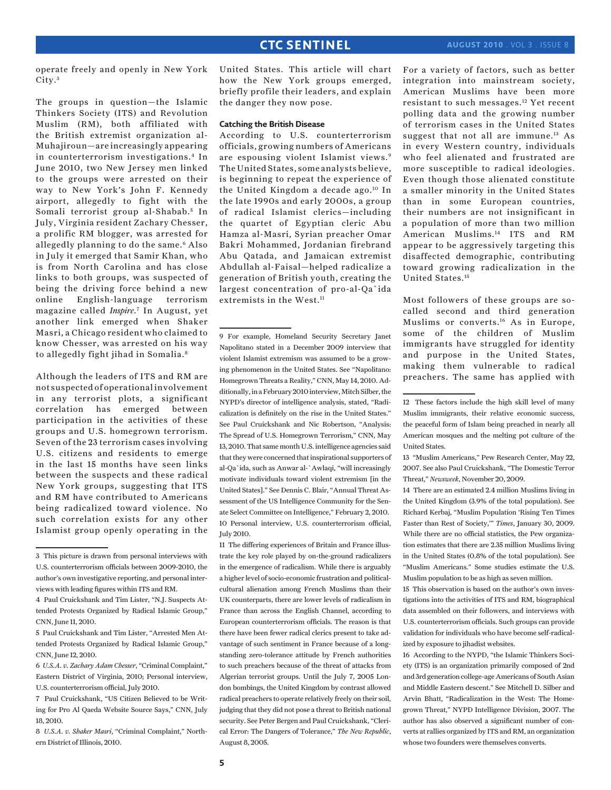operate freely and openly in New York City.<sup>3</sup>

The groups in question—the Islamic Thinkers Society (ITS) and Revolution Muslim (RM), both affiliated with the British extremist organization al-Muhajiroun—are increasingly appearing in counterterrorism investigations.4 In June 2010, two New Jersey men linked to the groups were arrested on their way to New York's John F. Kennedy airport, allegedly to fight with the Somali terrorist group al-Shabab.<sup>5</sup> In July, Virginia resident Zachary Chesser, a prolific RM blogger, was arrested for allegedly planning to do the same.6 Also in July it emerged that Samir Khan, who is from North Carolina and has close links to both groups, was suspected of being the driving force behind a new online English-language terrorism magazine called *Inspire*.7 In August, yet another link emerged when Shaker Masri, a Chicago resident who claimed to know Chesser, was arrested on his way to allegedly fight jihad in Somalia.8

Although the leaders of ITS and RM are not suspected of operational involvement in any terrorist plots, a significant correlation has emerged between participation in the activities of these groups and U.S. homegrown terrorism. Seven of the 23 terrorism cases involving U.S. citizens and residents to emerge in the last 15 months have seen links between the suspects and these radical New York groups, suggesting that ITS and RM have contributed to Americans being radicalized toward violence. No such correlation exists for any other Islamist group openly operating in the

United States. This article will chart how the New York groups emerged, briefly profile their leaders, and explain the danger they now pose.

### **Catching the British Disease**

According to U.S. counterterrorism officials, growing numbers of Americans are espousing violent Islamist views.9 The United States, some analysts believe, is beginning to repeat the experience of the United Kingdom a decade ago.10 In the late 1990s and early 2000s, a group of radical Islamist clerics—including the quartet of Egyptian cleric Abu Hamza al-Masri, Syrian preacher Omar Bakri Mohammed, Jordanian firebrand Abu Qatada, and Jamaican extremist Abdullah al-Faisal—helped radicalize a generation of British youth, creating the largest concentration of pro-al-Qa`ida extremists in the West.<sup>11</sup>

9 For example, Homeland Security Secretary Janet Napolitano stated in a December 2009 interview that violent Islamist extremism was assumed to be a growing phenomenon in the United States. See "Napolitano: Homegrown Threats a Reality," CNN, May 14, 2010. Additionally, in a February 2010 interview, Mitch Silber, the NYPD's director of intelligence analysis, stated, "Radicalization is definitely on the rise in the United States." See Paul Cruickshank and Nic Robertson, "Analysis: The Spread of U.S. Homegrown Terrorism," CNN, May 13, 2010. That same month U.S. intelligence agencies said that they were concerned that inspirational supporters of al-Qa`ida, such as Anwar al-`Awlaqi, "will increasingly motivate individuals toward violent extremism [in the United States]." See Dennis C. Blair, "Annual Threat Assessment of the US Intelligence Community for the Senate Select Committee on Intelligence," February 2, 2010. 10 Personal interview, U.S. counterterrorism official, July 2010.

11 The differing experiences of Britain and France illustrate the key role played by on-the-ground radicalizers in the emergence of radicalism. While there is arguably a higher level of socio-economic frustration and politicalcultural alienation among French Muslims than their UK counterparts, there are lower levels of radicalism in France than across the English Channel, according to European counterterrorism officials. The reason is that there have been fewer radical clerics present to take advantage of such sentiment in France because of a longstanding zero-tolerance attitude by French authorities to such preachers because of the threat of attacks from Algerian terrorist groups. Until the July 7, 2005 London bombings, the United Kingdom by contrast allowed radical preachers to operate relatively freely on their soil, judging that they did not pose a threat to British national security. See Peter Bergen and Paul Cruickshank, "Clerical Error: The Dangers of Tolerance," *The New Republic*, August 8, 2005.

For a variety of factors, such as better integration into mainstream society, American Muslims have been more resistant to such messages.12 Yet recent polling data and the growing number of terrorism cases in the United States suggest that not all are immune.<sup>13</sup> As in every Western country, individuals who feel alienated and frustrated are more susceptible to radical ideologies. Even though those alienated constitute a smaller minority in the United States than in some European countries, their numbers are not insignificant in a population of more than two million American Muslims.14 ITS and RM appear to be aggressively targeting this disaffected demographic, contributing toward growing radicalization in the United States.15

Most followers of these groups are socalled second and third generation Muslims or converts.16 As in Europe, some of the children of Muslim immigrants have struggled for identity and purpose in the United States, making them vulnerable to radical preachers. The same has applied with

13 "Muslim Americans," Pew Research Center, May 22, 2007. See also Paul Cruickshank, "The Domestic Terror Threat," *Newsweek*, November 20, 2009.

14 There are an estimated 2.4 million Muslims living in the United Kingdom (3.9% of the total population). See Richard Kerbaj, "Muslim Population 'Rising Ten Times Faster than Rest of Society,'" *Times*, January 30, 2009. While there are no official statistics, the Pew organization estimates that there are 2.35 million Muslims living in the United States (0.8% of the total population). See "Muslim Americans." Some studies estimate the U.S. Muslim population to be as high as seven million.

15 This observation is based on the author's own investigations into the activities of ITS and RM, biographical data assembled on their followers, and interviews with U.S. counterterrorism officials. Such groups can provide validation for individuals who have become self-radicalized by exposure to jihadist websites.

16 According to the NYPD, "the Islamic Thinkers Society (ITS) is an organization primarily composed of 2nd and 3rd generation college-age Americans of South Asian and Middle Eastern descent." See Mitchell D. Silber and Arvin Bhatt, "Radicalization in the West: The Homegrown Threat," NYPD Intelligence Division, 2007. The author has also observed a significant number of converts at rallies organized by ITS and RM, an organization whose two founders were themselves converts.

<sup>3</sup> This picture is drawn from personal interviews with U.S. counterterrorism officials between 2009-2010, the author's own investigative reporting, and personal interviews with leading figures within ITS and RM.

<sup>4</sup> Paul Cruickshank and Tim Lister, "N.J. Suspects Attended Protests Organized by Radical Islamic Group," CNN, June 11, 2010.

<sup>5</sup> Paul Cruickshank and Tim Lister, "Arrested Men Attended Protests Organized by Radical Islamic Group," CNN, June 12, 2010.

<sup>6</sup> *U.S.A. v. Zachary Adam Chesser*, "Criminal Complaint," Eastern District of Virginia, 2010; Personal interview, U.S. counterterrorism official, July 2010.

<sup>7</sup> Paul Cruickshank, "US Citizen Believed to be Writing for Pro Al Qaeda Website Source Says," CNN, July 18, 2010.

<sup>8</sup> *U.S.A. v. Shaker Masri*, "Criminal Complaint," Northern District of Illinois, 2010.

<sup>12</sup> These factors include the high skill level of many Muslim immigrants, their relative economic success, the peaceful form of Islam being preached in nearly all American mosques and the melting pot culture of the United States.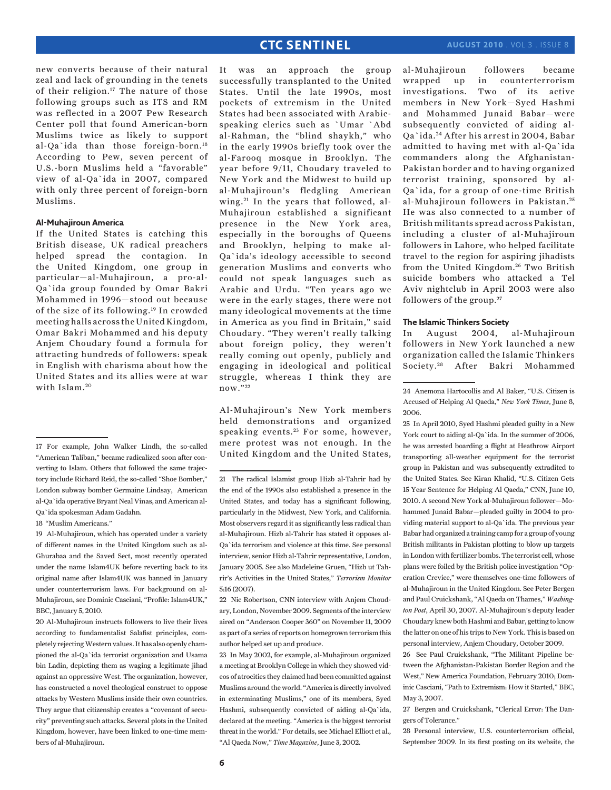new converts because of their natural zeal and lack of grounding in the tenets of their religion.<sup>17</sup> The nature of those following groups such as ITS and RM was reflected in a 2007 Pew Research Center poll that found American-born Muslims twice as likely to support al-Qa`ida than those foreign-born.18 According to Pew, seven percent of U.S.-born Muslims held a "favorable" view of al-Qa`ida in 2007, compared with only three percent of foreign-born Muslims.

### **Al-Muhajiroun America**

If the United States is catching this British disease, UK radical preachers helped spread the contagion. In the United Kingdom, one group in particular—al-Muhajiroun, a pro-al-Qa`ida group founded by Omar Bakri Mohammed in 1996—stood out because of the size of its following.19 In crowded meeting halls across the United Kingdom, Omar Bakri Mohammed and his deputy Anjem Choudary found a formula for attracting hundreds of followers: speak in English with charisma about how the United States and its allies were at war with Islam.<sup>20</sup>

18 "Muslim Americans."

20 Al-Muhajiroun instructs followers to live their lives according to fundamentalist Salafist principles, completely rejecting Western values. It has also openly championed the al-Qa`ida terrorist organization and Usama bin Ladin, depicting them as waging a legitimate jihad against an oppressive West. The organization, however, has constructed a novel theological construct to oppose attacks by Western Muslims inside their own countries. They argue that citizenship creates a "covenant of security" preventing such attacks. Several plots in the United Kingdom, however, have been linked to one-time members of al-Muhajiroun.

It was an approach the group successfully transplanted to the United States. Until the late 1990s, most pockets of extremism in the United States had been associated with Arabicspeaking clerics such as `Umar `Abd al-Rahman, the "blind shaykh," who in the early 1990s briefly took over the al-Farooq mosque in Brooklyn. The year before 9/11, Choudary traveled to New York and the Midwest to build up al-Muhajiroun's fledgling American wing.<sup>21</sup> In the years that followed, al-Muhajiroun established a significant presence in the New York area, especially in the boroughs of Queens and Brooklyn, helping to make al-Qa`ida's ideology accessible to second generation Muslims and converts who could not speak languages such as Arabic and Urdu. "Ten years ago we were in the early stages, there were not many ideological movements at the time in America as you find in Britain," said Choudary. "They weren't really talking about foreign policy, they weren't really coming out openly, publicly and engaging in ideological and political struggle, whereas I think they are now." 22

Al-Muhajiroun's New York members held demonstrations and organized speaking events.<sup>23</sup> For some, however, mere protest was not enough. In the United Kingdom and the United States,

22 Nic Robertson, CNN interview with Anjem Choudary, London, November 2009. Segments of the interview aired on "Anderson Cooper 360" on November 11, 2009 as part of a series of reports on homegrown terrorism this author helped set up and produce.

23 In May 2002, for example, al-Muhajiroun organized a meeting at Brooklyn College in which they showed videos of atrocities they claimed had been committed against Muslims around the world. "America is directly involved in exterminating Muslims," one of its members, Syed Hashmi, subsequently convicted of aiding al-Qa`ida, declared at the meeting. "America is the biggest terrorist threat in the world." For details, see Michael Elliott et al., "Al Qaeda Now," *Time Magazine*, June 3, 2002.

al-Muhajiroun followers became wrapped up in counterterrorism investigations. Two of its active members in New York—Syed Hashmi and Mohammed Junaid Babar—were subsequently convicted of aiding al-Qa`ida. 24 After his arrest in 2004, Babar admitted to having met with al-Qa`ida commanders along the Afghanistan-Pakistan border and to having organized terrorist training, sponsored by al-Qa`ida, for a group of one-time British al-Muhajiroun followers in Pakistan. <sup>25</sup> He was also connected to a number of British militants spread across Pakistan, including a cluster of al-Muhajiroun followers in Lahore, who helped facilitate travel to the region for aspiring jihadists from the United Kingdom.<sup>26</sup> Two British suicide bombers who attacked a Tel Aviv nightclub in April 2003 were also followers of the group.27

### **The Islamic Thinkers Society**

In August 2004, al-Muhajiroun followers in New York launched a new organization called the Islamic Thinkers Society. 28 After Bakri Mohammed

25 In April 2010, Syed Hashmi pleaded guilty in a New York court to aiding al-Qa`ida. In the summer of 2006, he was arrested boarding a flight at Heathrow Airport transporting all-weather equipment for the terrorist group in Pakistan and was subsequently extradited to the United States. See Kiran Khalid, "U.S. Citizen Gets 15 Year Sentence for Helping Al Qaeda," CNN, June 10, 2010. A second New York al-Muhajiroun follower—Mohammed Junaid Babar—pleaded guilty in 2004 to providing material support to al-Qa`ida. The previous year Babar had organized a training camp for a group of young British militants in Pakistan plotting to blow up targets in London with fertilizer bombs. The terrorist cell, whose plans were foiled by the British police investigation "Operation Crevice," were themselves one-time followers of al-Muhajiroun in the United Kingdom. See Peter Bergen and Paul Cruickshank, "Al Qaeda on Thames," *Washington Post*, April 30, 2007. Al-Muhajiroun's deputy leader Choudary knew both Hashmi and Babar, getting to know the latter on one of his trips to New York. This is based on personal interview, Anjem Choudary, October 2009.

26 See Paul Cruickshank, "The Militant Pipeline between the Afghanistan-Pakistan Border Region and the West," New America Foundation, February 2010; Dominic Casciani, "Path to Extremism: How it Started," BBC, May 3, 2007.

27 Bergen and Cruickshank, "Clerical Error: The Dangers of Tolerance."

28 Personal interview, U.S. counterterrorism official, September 2009. In its first posting on its website, the

<sup>17</sup> For example, John Walker Lindh, the so-called "American Taliban," became radicalized soon after converting to Islam. Others that followed the same trajectory include Richard Reid, the so-called "Shoe Bomber," London subway bomber Germaine Lindsay, American al-Qa`ida operative Bryant Neal Vinas, and American al-Qa`ida spokesman Adam Gadahn.

<sup>19</sup> Al-Muhajiroun, which has operated under a variety of different names in the United Kingdom such as al-Ghurabaa and the Saved Sect, most recently operated under the name Islam4UK before reverting back to its original name after Islam4UK was banned in January under counterterrorism laws. For background on al-Muhajiroun, see Dominic Casciani, "Profile: Islam4UK," BBC, January 5, 2010.

<sup>21</sup> The radical Islamist group Hizb al-Tahrir had by the end of the 1990s also established a presence in the United States, and today has a significant following, particularly in the Midwest, New York, and California. Most observers regard it as significantly less radical than al-Muhajiroun. Hizb al-Tahrir has stated it opposes al-Qa`ida terrorism and violence at this time. See personal interview, senior Hizb al-Tahrir representative, London, January 2005. See also Madeleine Gruen, "Hizb ut Tahrir's Activities in the United States," *Terrorism Monitor* 5:16 (2007).

<sup>24</sup> Anemona Hartocollis and Al Baker, "U.S. Citizen is Accused of Helping Al Qaeda," *New York Times*, June 8, 2006.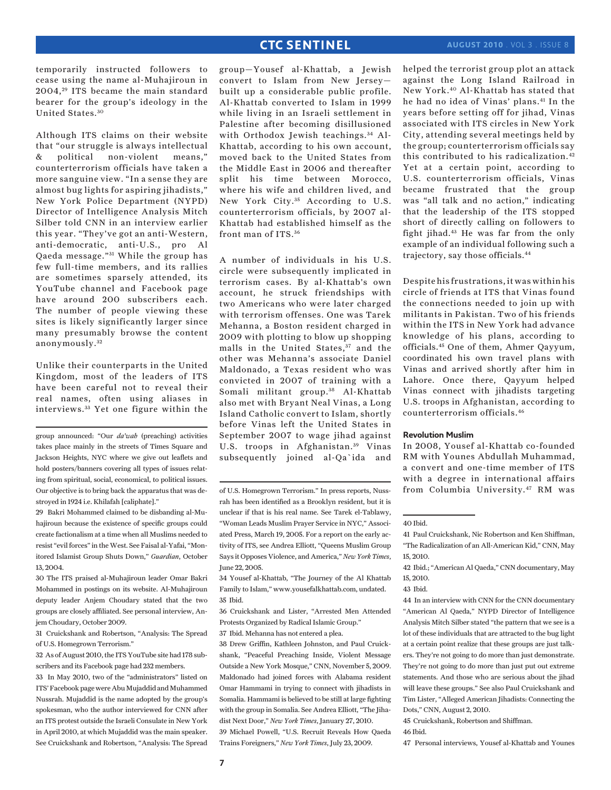temporarily instructed followers to cease using the name al-Muhajiroun in 2004,<sup>29</sup> ITS became the main standard bearer for the group's ideology in the United States. <sup>30</sup>

Although ITS claims on their website that "our struggle is always intellectual & political non-violent means," counterterrorism officials have taken a more sanguine view. "In a sense they are almost bug lights for aspiring jihadists," New York Police Department (NYPD) Director of Intelligence Analysis Mitch Silber told CNN in an interview earlier this year. "They've got an anti-Western, anti-democratic, anti-U.S., pro Al Qaeda message."<sup>31</sup> While the group has few full-time members, and its rallies are sometimes sparsely attended, its YouTube channel and Facebook page have around 200 subscribers each. The number of people viewing these sites is likely significantly larger since many presumably browse the content anonymously. <sup>32</sup>

Unlike their counterparts in the United Kingdom, most of the leaders of ITS have been careful not to reveal their real names, often using aliases in interviews. 33 Yet one figure within the

group announced: "Our *da'wah* (preaching) activities takes place mainly in the streets of Times Square and Jackson Heights, NYC where we give out leaflets and hold posters/banners covering all types of issues relating from spiritual, social, economical, to political issues. Our objective is to bring back the apparatus that was destroyed in 1924 i.e. Khilafah [caliphate]."

29 Bakri Mohammed claimed to be disbanding al-Muhajiroun because the existence of specific groups could create factionalism at a time when all Muslims needed to resist "evil forces" in the West. See Faisal al-Yafai, "Monitored Islamist Group Shuts Down," *Guardian*, October 13, 2004.

30 The ITS praised al-Muhajiroun leader Omar Bakri Mohammed in postings on its website. Al-Muhajiroun deputy leader Anjem Choudary stated that the two groups are closely affiliated. See personal interview, Anjem Choudary, October 2009.

31 Cruickshank and Robertson, "Analysis: The Spread of U.S. Homegrown Terrorism."

32 As of August 2010, the ITS YouTube site had 178 subscribers and its Facebook page had 232 members.

33 In May 2010, two of the "administrators" listed on ITS' Facebook page were Abu Mujaddid and Muhammed Nussrah. Mujaddid is the name adopted by the group's spokesman, who the author interviewed for CNN after an ITS protest outside the Israeli Consulate in New York in April 2010, at which Mujaddid was the main speaker. See Cruickshank and Robertson, "Analysis: The Spread group—Yousef al-Khattab, a Jewish convert to Islam from New Jersey built up a considerable public profile. Al-Khattab converted to Islam in 1999 while living in an Israeli settlement in Palestine after becoming disillusioned with Orthodox Jewish teachings.<sup>34</sup> Al-Khattab, according to his own account, moved back to the United States from the Middle East in 2006 and thereafter split his time between Morocco, where his wife and children lived, and New York City.<sup>35</sup> According to U.S. counterterrorism officials, by 2007 al-Khattab had established himself as the front man of ITS.<sup>36</sup>

A number of individuals in his U.S. circle were subsequently implicated in terrorism cases. By al-Khattab's own account, he struck friendships with two Americans who were later charged with terrorism offenses. One was Tarek Mehanna, a Boston resident charged in 2009 with plotting to blow up shopping malls in the United States,<sup>37</sup> and the other was Mehanna's associate Daniel Maldonado, a Texas resident who was convicted in 2007 of training with a Somali militant group.<sup>38</sup> Al-Khattab also met with Bryant Neal Vinas, a Long Island Catholic convert to Islam, shortly before Vinas left the United States in September 2007 to wage jihad against U.S. troops in Afghanistan.<sup>39</sup> Vinas subsequently joined al-Qa`ida and

34 Yousef al-Khattab, "The Journey of the Al Khattab Family to Islam," www.yousefalkhattab.com, undated. 35 Ibid.

36 Cruickshank and Lister, "Arrested Men Attended Protests Organized by Radical Islamic Group."

37 Ibid. Mehanna has not entered a plea.

38 Drew Griffin, Kathleen Johnston, and Paul Cruickshank, "Peaceful Preaching Inside, Violent Message Outside a New York Mosque," CNN, November 5, 2009. Maldonado had joined forces with Alabama resident Omar Hammami in trying to connect with jihadists in Somalia. Hammami is believed to be still at large fighting with the group in Somalia. See Andrea Elliott, "The Jihadist Next Door," *New York Times*, January 27, 2010. 39 Michael Powell, "U.S. Recruit Reveals How Qaeda Trains Foreigners," *New York Times*, July 23, 2009.

helped the terrorist group plot an attack against the Long Island Railroad in New York.40 Al-Khattab has stated that he had no idea of Vinas' plans.41 In the years before setting off for jihad, Vinas associated with ITS circles in New York City, attending several meetings held by the group; counterterrorism officials say this contributed to his radicalization.42 Yet at a certain point, according to U.S. counterterrorism officials, Vinas became frustrated that the group was "all talk and no action," indicating that the leadership of the ITS stopped short of directly calling on followers to fight jihad.43 He was far from the only example of an individual following such a trajectory, say those officials.44

Despite his frustrations, it was within his circle of friends at ITS that Vinas found the connections needed to join up with militants in Pakistan. Two of his friends within the ITS in New York had advance knowledge of his plans, according to officials.45 One of them, Ahmer Qayyum, coordinated his own travel plans with Vinas and arrived shortly after him in Lahore. Once there, Qayyum helped Vinas connect with jihadists targeting U.S. troops in Afghanistan, according to counterterrorism officials.46

### **Revolution Muslim**

In 2008, Yousef al-Khattab co-founded RM with Younes Abdullah Muhammad, a convert and one-time member of ITS with a degree in international affairs from Columbia University.47 RM was

44 In an interview with CNN for the CNN documentary "American Al Qaeda," NYPD Director of Intelligence Analysis Mitch Silber stated "the pattern that we see is a lot of these individuals that are attracted to the bug light at a certain point realize that these groups are just talkers. They're not going to do more than just demonstrate. They're not going to do more than just put out extreme statements. And those who are serious about the jihad will leave these groups." See also Paul Cruickshank and Tim Lister, "Alleged American Jihadists: Connecting the Dots," CNN, August 2, 2010.

45 Cruickshank, Robertson and Shiffman.

46 Ibid.

47 Personal interviews, Yousef al-Khattab and Younes

of U.S. Homegrown Terrorism." In press reports, Nussrah has been identified as a Brooklyn resident, but it is unclear if that is his real name. See Tarek el-Tablawy, "Woman Leads Muslim Prayer Service in NYC," Associated Press, March 19, 2005. For a report on the early activity of ITS, see Andrea Elliott, "Queens Muslim Group Says it Opposes Violence, and America," *New York Times*, June 22, 2005.

<sup>40</sup> Ibid.

<sup>41</sup> Paul Cruickshank, Nic Robertson and Ken Shiffman, "The Radicalization of an All-American Kid," CNN, May 15, 2010.

<sup>42</sup> Ibid.; "American Al Qaeda," CNN documentary, May 15, 2010.

<sup>43</sup> Ibid.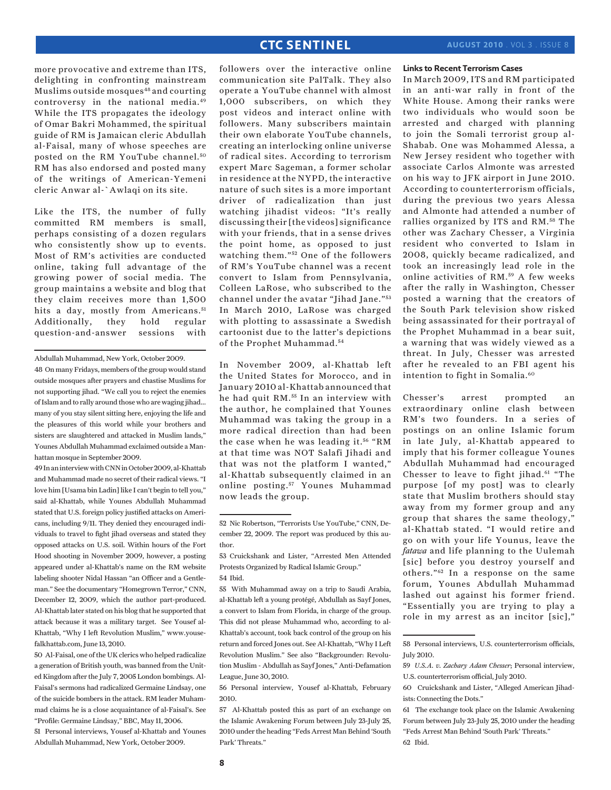more provocative and extreme than ITS, delighting in confronting mainstream Muslims outside mosques<sup>48</sup> and courting controversy in the national media.49 While the ITS propagates the ideology of Omar Bakri Mohammed, the spiritual guide of RM is Jamaican cleric Abdullah al-Faisal, many of whose speeches are posted on the RM YouTube channel.<sup>50</sup> RM has also endorsed and posted many of the writings of American-Yemeni cleric Anwar al-`Awlaqi on its site.

Like the ITS, the number of fully committed RM members is small, perhaps consisting of a dozen regulars who consistently show up to events. Most of RM's activities are conducted online, taking full advantage of the growing power of social media. The group maintains a website and blog that they claim receives more than 1,500 hits a day, mostly from Americans.<sup>51</sup> Additionally, they hold regular question-and-answer sessions with

48 On many Fridays, members of the group would stand outside mosques after prayers and chastise Muslims for not supporting jihad. "We call you to reject the enemies of Islam and to rally around those who are waging jihad... many of you stay silent sitting here, enjoying the life and the pleasures of this world while your brothers and sisters are slaughtered and attacked in Muslim lands," Younes Abdullah Muhammad exclaimed outside a Manhattan mosque in September 2009.

49 In an interview with CNN in October 2009, al-Khattab and Muhammad made no secret of their radical views. "I love him [Usama bin Ladin] like I can't begin to tell you," said al-Khattab, while Younes Abdullah Muhammad stated that U.S. foreign policy justified attacks on Americans, including 9/11. They denied they encouraged individuals to travel to fight jihad overseas and stated they opposed attacks on U.S. soil. Within hours of the Fort Hood shooting in November 2009, however, a posting appeared under al-Khattab's name on the RM website labeling shooter Nidal Hassan "an Officer and a Gentleman." See the documentary "Homegrown Terror," CNN, December 12, 2009, which the author part-produced. Al-Khattab later stated on his blog that he supported that attack because it was a military target. See Yousef al-Khattab, "Why I left Revolution Muslim," www.yousefalkhattab.com, June 13, 2010.

50 Al-Faisal, one of the UK clerics who helped radicalize a generation of British youth, was banned from the United Kingdom after the July 7, 2005 London bombings. Al-Faisal's sermons had radicalized Germaine Lindsay, one of the suicide bombers in the attack. RM leader Muhammad claims he is a close acquaintance of al-Faisal's. See "Profile: Germaine Lindsay," BBC, May 11, 2006. 51 Personal interviews, Yousef al-Khattab and Younes

Abdullah Muhammad, New York, October 2009.

followers over the interactive online communication site PalTalk. They also operate a YouTube channel with almost 1,000 subscribers, on which they post videos and interact online with followers. Many subscribers maintain their own elaborate YouTube channels, creating an interlocking online universe of radical sites. According to terrorism expert Marc Sageman, a former scholar in residence at the NYPD, the interactive nature of such sites is a more important driver of radicalization than just watching jihadist videos: "It's really discussing their [the videos] significance with your friends, that in a sense drives the point home, as opposed to just watching them."<sup>52</sup> One of the followers of RM's YouTube channel was a recent convert to Islam from Pennsylvania, Colleen LaRose, who subscribed to the channel under the avatar "Jihad Jane." <sup>53</sup> In March 2010, LaRose was charged with plotting to assassinate a Swedish cartoonist due to the latter's depictions of the Prophet Muhammad. <sup>54</sup>

In November 2009, al-Khattab left the United States for Morocco, and in January 2010 al-Khattab announced that he had quit RM.<sup>55</sup> In an interview with the author, he complained that Younes Muhammad was taking the group in a more radical direction than had been the case when he was leading it. 56 "RM at that time was NOT Salafi Jihadi and that was not the platform I wanted," al-Khattab subsequently claimed in an online posting.<sup>57</sup> Younes Muhammad now leads the group.

55 With Muhammad away on a trip to Saudi Arabia, al-Khattab left a young protégé, Abdullah as Sayf Jones, a convert to Islam from Florida, in charge of the group. This did not please Muhammad who, according to al-Khattab's account, took back control of the group on his return and forced Jones out. See Al-Khattab, "Why I Left Revolution Muslim." See also "Backgrounder: Revolution Muslim - Abdullah as Sayf Jones," Anti-Defamation League, June 30, 2010.

56 Personal interview, Yousef al-Khattab, February 2010.

**Links to Recent Terrorism Cases**

In March 2009, ITS and RM participated in an anti-war rally in front of the White House. Among their ranks were two individuals who would soon be arrested and charged with planning to join the Somali terrorist group al-Shabab. One was Mohammed Alessa, a New Jersey resident who together with associate Carlos Almonte was arrested on his way to JFK airport in June 2010. According to counterterrorism officials, during the previous two years Alessa and Almonte had attended a number of rallies organized by ITS and RM. 58 The other was Zachary Chesser, a Virginia resident who converted to Islam in 2008, quickly became radicalized, and took an increasingly lead role in the online activities of RM.<sup>59</sup> A few weeks after the rally in Washington, Chesser posted a warning that the creators of the South Park television show risked being assassinated for their portrayal of the Prophet Muhammad in a bear suit, a warning that was widely viewed as a threat. In July, Chesser was arrested after he revealed to an FBI agent his intention to fight in Somalia.<sup>60</sup>

Chesser's arrest prompted an extraordinary online clash between RM's two founders. In a series of postings on an online Islamic forum in late July, al-Khattab appeared to imply that his former colleague Younes Abdullah Muhammad had encouraged Chesser to leave to fight jihad.<sup>61</sup> "The purpose [of my post] was to clearly state that Muslim brothers should stay away from my former group and any group that shares the same theology," al-Khattab stated. "I would retire and go on with your life Younus, leave the *fatawa* and life planning to the Uulemah [sic] before you destroy yourself and others."62 In a response on the same forum, Younes Abdullah Muhammad lashed out against his former friend. "Essentially you are trying to play a role in my arrest as an incitor [sic],"

Abdullah Muhammad, New York, October 2009.

<sup>52</sup> Nic Robertson, "Terrorists Use YouTube," CNN, December 22, 2009. The report was produced by this author.

<sup>53</sup> Cruickshank and Lister, "Arrested Men Attended Protests Organized by Radical Islamic Group." 54 Ibid.

<sup>57</sup> Al-Khattab posted this as part of an exchange on the Islamic Awakening Forum between July 23-July 25, 2010 under the heading "Feds Arrest Man Behind 'South Park' Threats."

<sup>58</sup> Personal interviews, U.S. counterterrorism officials, July 2010.

<sup>59</sup> *U.S.A. v. Zachary Adam Chesser*; Personal interview, U.S. counterterrorism official, July 2010.

<sup>60</sup> Cruickshank and Lister, "Alleged American Jihadists: Connecting the Dots."

<sup>61</sup> The exchange took place on the Islamic Awakening Forum between July 23-July 25, 2010 under the heading "Feds Arrest Man Behind 'South Park' Threats." 62 Ibid.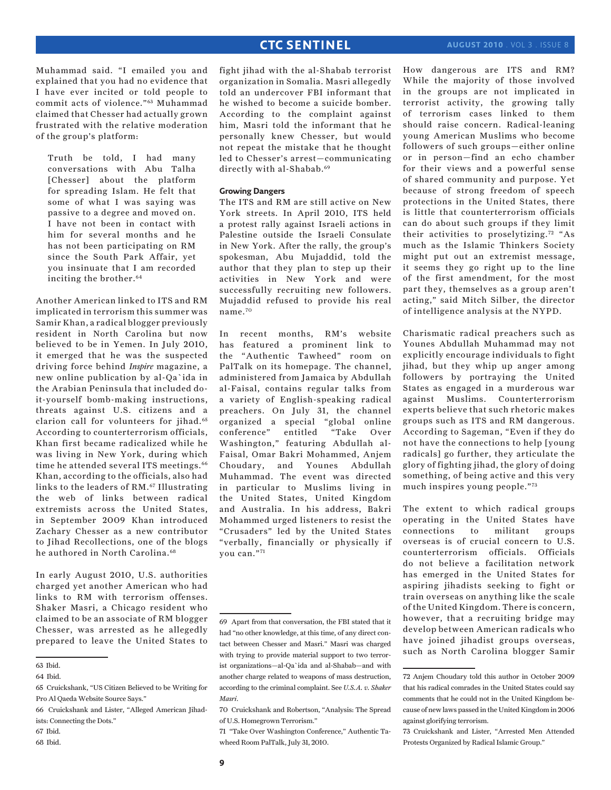Muhammad said. "I emailed you and explained that you had no evidence that I have ever incited or told people to commit acts of violence."63 Muhammad claimed that Chesser had actually grown frustrated with the relative moderation of the group's platform:

Truth be told, I had many conversations with Abu Talha [Chesser] about the platform for spreading Islam. He felt that some of what I was saying was passive to a degree and moved on. I have not been in contact with him for several months and he has not been participating on RM since the South Park Affair, yet you insinuate that I am recorded inciting the brother.<sup>64</sup>

Another American linked to ITS and RM implicated in terrorism this summer was Samir Khan, a radical blogger previously resident in North Carolina but now believed to be in Yemen. In July 2010, it emerged that he was the suspected driving force behind *Inspire* magazine, a new online publication by al-Qa`ida in the Arabian Peninsula that included doit-yourself bomb-making instructions, threats against U.S. citizens and a clarion call for volunteers for jihad.<sup>65</sup> According to counterterrorism officials, Khan first became radicalized while he was living in New York, during which time he attended several ITS meetings.<sup>66</sup> Khan, according to the officials, also had links to the leaders of RM.<sup>67</sup> Illustrating the web of links between radical extremists across the United States, in September 2009 Khan introduced Zachary Chesser as a new contributor to Jihad Recollections, one of the blogs he authored in North Carolina.<sup>68</sup>

In early August 2010, U.S. authorities charged yet another American who had links to RM with terrorism offenses. Shaker Masri, a Chicago resident who claimed to be an associate of RM blogger Chesser, was arrested as he allegedly prepared to leave the United States to

68 Ibid.

fight jihad with the al-Shabab terrorist organization in Somalia. Masri allegedly told an undercover FBI informant that he wished to become a suicide bomber. According to the complaint against him, Masri told the informant that he personally knew Chesser, but would not repeat the mistake that he thought led to Chesser's arrest—communicating directly with al-Shabab.<sup>69</sup>

### **Growing Dangers**

The ITS and RM are still active on New York streets. In April 2010, ITS held a protest rally against Israeli actions in Palestine outside the Israeli Consulate in New York. After the rally, the group's spokesman, Abu Mujaddid, told the author that they plan to step up their activities in New York and were successfully recruiting new followers. Mujaddid refused to provide his real name.70

In recent months, RM's website has featured a prominent link to the "Authentic Tawheed" room on PalTalk on its homepage. The channel, administered from Jamaica by Abdullah al-Faisal, contains regular talks from a variety of English-speaking radical preachers. On July 31, the channel organized a special "global online conference" entitled "Take Over Washington," featuring Abdullah al-Faisal, Omar Bakri Mohammed, Anjem Choudary, and Younes Abdullah Muhammad. The event was directed in particular to Muslims living in the United States, United Kingdom and Australia. In his address, Bakri Mohammed urged listeners to resist the "Crusaders" led by the United States "verbally, financially or physically if you can."71

71 "Take Over Washington Conference," Authentic Tawheed Room PalTalk, July 31, 2010.

How dangerous are ITS and RM? While the majority of those involved in the groups are not implicated in terrorist activity, the growing tally of terrorism cases linked to them should raise concern. Radical-leaning young American Muslims who become followers of such groups—either online or in person—find an echo chamber for their views and a powerful sense of shared community and purpose. Yet because of strong freedom of speech protections in the United States, there is little that counterterrorism officials can do about such groups if they limit their activities to proselytizing.72 "As much as the Islamic Thinkers Society might put out an extremist message, it seems they go right up to the line of the first amendment, for the most part they, themselves as a group aren't acting," said Mitch Silber, the director of intelligence analysis at the NYPD.

Charismatic radical preachers such as Younes Abdullah Muhammad may not explicitly encourage individuals to fight jihad, but they whip up anger among followers by portraying the United States as engaged in a murderous war against Muslims. Counterterrorism experts believe that such rhetoric makes groups such as ITS and RM dangerous. According to Sageman, "Even if they do not have the connections to help [young radicals] go further, they articulate the glory of fighting jihad, the glory of doing something, of being active and this very much inspires young people."73

The extent to which radical groups operating in the United States have connections to militant groups overseas is of crucial concern to U.S. counterterrorism officials. Officials do not believe a facilitation network has emerged in the United States for aspiring jihadists seeking to fight or train overseas on anything like the scale of the United Kingdom. There is concern, however, that a recruiting bridge may develop between American radicals who have joined jihadist groups overseas, such as North Carolina blogger Samir

<sup>63</sup> Ibid.

<sup>64</sup> Ibid.

<sup>65</sup> Cruickshank, "US Citizen Believed to be Writing for Pro Al Qaeda Website Source Says."

<sup>66</sup> Cruickshank and Lister, "Alleged American Jihadists: Connecting the Dots."

<sup>67</sup> Ibid.

<sup>69</sup> Apart from that conversation, the FBI stated that it had "no other knowledge, at this time, of any direct contact between Chesser and Masri." Masri was charged with trying to provide material support to two terrorist organizations—al-Qa`ida and al-Shabab—and with another charge related to weapons of mass destruction, according to the criminal complaint. See *U.S.A. v. Shaker Masri*.

<sup>70</sup> Cruickshank and Robertson, "Analysis: The Spread of U.S. Homegrown Terrorism."

<sup>72</sup> Anjem Choudary told this author in October 2009 that his radical comrades in the United States could say comments that he could not in the United Kingdom because of new laws passed in the United Kingdom in 2006 against glorifying terrorism.

<sup>73</sup> Cruickshank and Lister, "Arrested Men Attended Protests Organized by Radical Islamic Group."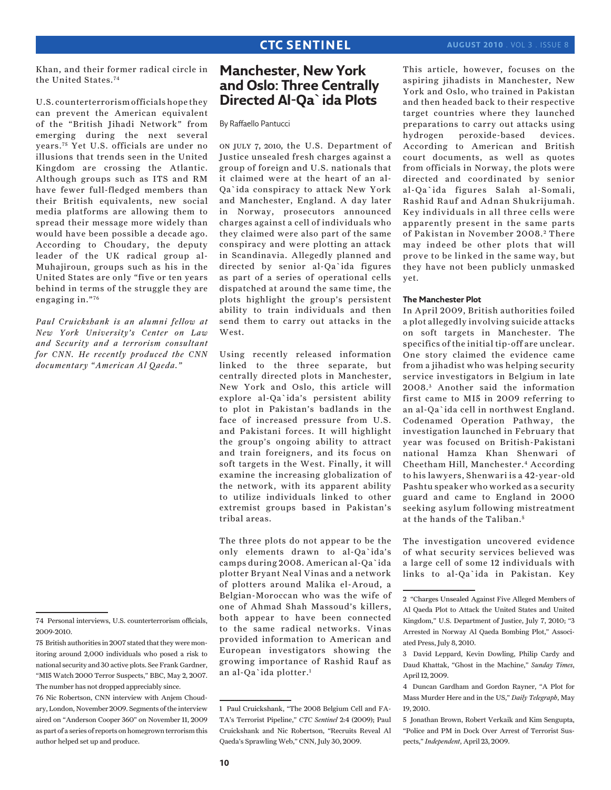Khan, and their former radical circle in the United States.74

U.S. counterterrorism officials hope they can prevent the American equivalent of the "British Jihadi Network" from emerging during the next several years.75 Yet U.S. officials are under no illusions that trends seen in the United Kingdom are crossing the Atlantic. Although groups such as ITS and RM have fewer full-fledged members than their British equivalents, new social media platforms are allowing them to spread their message more widely than would have been possible a decade ago. According to Choudary, the deputy leader of the UK radical group al-Muhajiroun, groups such as his in the United States are only "five or ten years behind in terms of the struggle they are engaging in."76

*Paul Cruickshank is an alumni fellow at New York University's Center on Law and Security and a terrorism consultant for CNN. He recently produced the CNN documentary "American Al Qaeda."* 

# **Manchester, New York and Oslo: Three Centrally Directed Al-Qa`ida Plots**

By Raffaello Pantucci

on july 7, 2010, the U.S. Department of Justice unsealed fresh charges against a group of foreign and U.S. nationals that it claimed were at the heart of an al-Qa`ida conspiracy to attack New York and Manchester, England. A day later in Norway, prosecutors announced charges against a cell of individuals who they claimed were also part of the same conspiracy and were plotting an attack in Scandinavia. Allegedly planned and directed by senior al-Qa`ida figures as part of a series of operational cells dispatched at around the same time, the plots highlight the group's persistent ability to train individuals and then send them to carry out attacks in the West.

Using recently released information linked to the three separate, but centrally directed plots in Manchester, New York and Oslo, this article will explore al-Qa`ida's persistent ability to plot in Pakistan's badlands in the face of increased pressure from U.S. and Pakistani forces. It will highlight the group's ongoing ability to attract and train foreigners, and its focus on soft targets in the West. Finally, it will examine the increasing globalization of the network, with its apparent ability to utilize individuals linked to other extremist groups based in Pakistan's tribal areas.

The three plots do not appear to be the only elements drawn to al-Qa`ida's camps during 2008. American al-Qa`ida plotter Bryant Neal Vinas and a network of plotters around Malika el-Aroud, a Belgian-Moroccan who was the wife of one of Ahmad Shah Massoud's killers, both appear to have been connected to the same radical networks. Vinas provided information to American and European investigators showing the growing importance of Rashid Rauf as an al-Qa`ida plotter.1

This article, however, focuses on the aspiring jihadists in Manchester, New York and Oslo, who trained in Pakistan and then headed back to their respective target countries where they launched preparations to carry out attacks using hydrogen peroxide-based devices. According to American and British court documents, as well as quotes from officials in Norway, the plots were directed and coordinated by senior al-Qa`ida figures Salah al-Somali, Rashid Rauf and Adnan Shukrijumah. Key individuals in all three cells were apparently present in the same parts of Pakistan in November 2008. 2 There may indeed be other plots that will prove to be linked in the same way, but they have not been publicly unmasked yet.

### **The Manchester Plot**

In April 2009, British authorities foiled a plot allegedly involving suicide attacks on soft targets in Manchester. The specifics of the initial tip-off are unclear. One story claimed the evidence came from a jihadist who was helping security service investigators in Belgium in late 2008. 3 Another said the information first came to MI5 in 2009 referring to an al-Qa`ida cell in northwest England. Codenamed Operation Pathway, the investigation launched in February that year was focused on British-Pakistani national Hamza Khan Shenwari of Cheetham Hill, Manchester.4 According to his lawyers, Shenwari is a 42-year-old Pashtu speaker who worked as a security guard and came to England in 2000 seeking asylum following mistreatment at the hands of the Taliban.<sup>5</sup>

The investigation uncovered evidence of what security services believed was a large cell of some 12 individuals with links to al-Qa`ida in Pakistan. Key

<sup>74</sup> Personal interviews, U.S. counterterrorism officials, 2009-2010.

<sup>75</sup> British authorities in 2007 stated that they were monitoring around 2,000 individuals who posed a risk to national security and 30 active plots. See Frank Gardner, "MI5 Watch 2000 Terror Suspects," BBC, May 2, 2007. The number has not dropped appreciably since.

<sup>76</sup> Nic Robertson, CNN interview with Anjem Choudary, London, November 2009. Segments of the interview aired on "Anderson Cooper 360" on November 11, 2009 as part of a series of reports on homegrown terrorism this author helped set up and produce.

<sup>1</sup> Paul Cruickshank, "The 2008 Belgium Cell and FA-TA's Terrorist Pipeline," *CTC Sentinel* 2:4 (2009); Paul Cruickshank and Nic Robertson, "Recruits Reveal Al Qaeda's Sprawling Web," CNN, July 30, 2009.

<sup>2 &</sup>quot;Charges Unsealed Against Five Alleged Members of Al Qaeda Plot to Attack the United States and United Kingdom," U.S. Department of Justice, July 7, 2010; "3 Arrested in Norway Al Qaeda Bombing Plot," Associated Press, July 8, 2010.

<sup>3</sup> David Leppard, Kevin Dowling, Philip Cardy and Daud Khattak, "Ghost in the Machine," *Sunday Times*, April 12, 2009.

<sup>4</sup> Duncan Gardham and Gordon Rayner, "A Plot for Mass Murder Here and in the US," *Daily Telegraph*, May 19, 2010.

<sup>5</sup> Jonathan Brown, Robert Verkaik and Kim Sengupta, "Police and PM in Dock Over Arrest of Terrorist Suspects," *Independent*, April 23, 2009.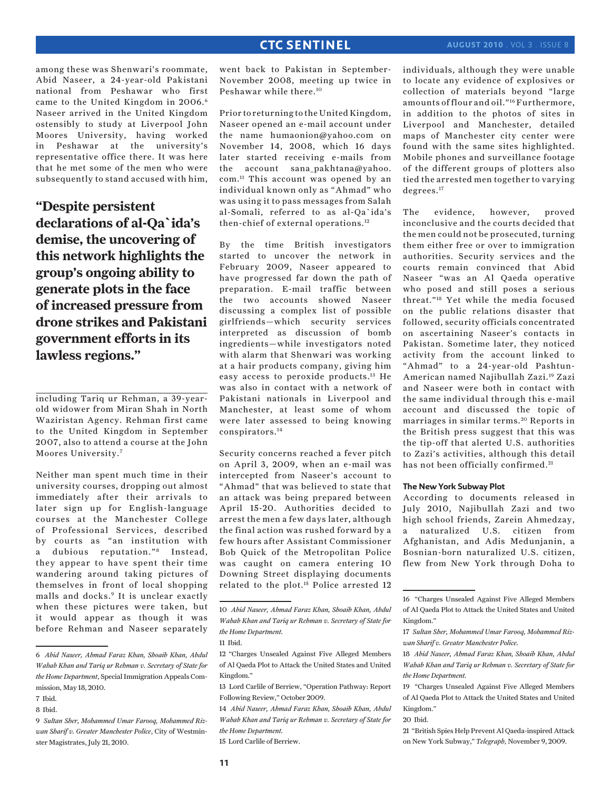among these was Shenwari's roommate, Abid Naseer, a 24-year-old Pakistani national from Peshawar who first came to the United Kingdom in 2006.<sup>6</sup> Naseer arrived in the United Kingdom ostensibly to study at Liverpool John Moores University, having worked in Peshawar at the university's representative office there. It was here that he met some of the men who were subsequently to stand accused with him,

**"Despite persistent declarations of al-Qa`ida's demise, the uncovering of this network highlights the group's ongoing ability to generate plots in the face of increased pressure from drone strikes and Pakistani government efforts in its lawless regions."**

including Tariq ur Rehman, a 39-yearold widower from Miran Shah in North Waziristan Agency. Rehman first came to the United Kingdom in September 2007, also to attend a course at the John Moores University.7

Neither man spent much time in their university courses, dropping out almost immediately after their arrivals to later sign up for English-language courses at the Manchester College of Professional Services, described by courts as "an institution with a dubious reputation."<sup>8</sup> Instead, they appear to have spent their time wandering around taking pictures of themselves in front of local shopping malls and docks.9 It is unclear exactly when these pictures were taken, but it would appear as though it was before Rehman and Naseer separately

went back to Pakistan in September-November 2008, meeting up twice in Peshawar while there.10

Prior to returning to the United Kingdom, Naseer opened an e-mail account under the name humaonion@yahoo.com on November 14, 2008, which 16 days later started receiving e-mails from the account sana\_pakhtana@yahoo. com.11 This account was opened by an individual known only as "Ahmad" who was using it to pass messages from Salah al-Somali, referred to as al-Qa`ida's then-chief of external operations.12

By the time British investigators started to uncover the network in February 2009, Naseer appeared to have progressed far down the path of preparation. E-mail traffic between the two accounts showed Naseer discussing a complex list of possible girlfriends—which security services interpreted as discussion of bomb ingredients—while investigators noted with alarm that Shenwari was working at a hair products company, giving him easy access to peroxide products.13 He was also in contact with a network of Pakistani nationals in Liverpool and Manchester, at least some of whom were later assessed to being knowing conspirators.14

Security concerns reached a fever pitch on April 3, 2009, when an e-mail was intercepted from Naseer's account to "Ahmad" that was believed to state that an attack was being prepared between April 15-20. Authorities decided to arrest the men a few days later, although the final action was rushed forward by a few hours after Assistant Commissioner Bob Quick of the Metropolitan Police was caught on camera entering 10 Downing Street displaying documents related to the plot.15 Police arrested 12

14 *Abid Naseer, Ahmad Faraz Khan, Shoaib Khan, Abdul Wahab Khan and Tariq ur Rehman v. Secretary of State for the Home Department.*

15 Lord Carlile of Berriew.

individuals, although they were unable to locate any evidence of explosives or collection of materials beyond "large amounts of flour and oil."16 Furthermore, in addition to the photos of sites in Liverpool and Manchester, detailed maps of Manchester city center were found with the same sites highlighted. Mobile phones and surveillance footage of the different groups of plotters also tied the arrested men together to varying degrees.<sup>17</sup>

The evidence, however, proved inconclusive and the courts decided that the men could not be prosecuted, turning them either free or over to immigration authorities. Security services and the courts remain convinced that Abid Naseer "was an Al Qaeda operative who posed and still poses a serious threat."18 Yet while the media focused on the public relations disaster that followed, security officials concentrated on ascertaining Naseer's contacts in Pakistan. Sometime later, they noticed activity from the account linked to "Ahmad" to a 24-year-old Pashtun-American named Najibullah Zazi.19 Zazi and Naseer were both in contact with the same individual through this e-mail account and discussed the topic of marriages in similar terms. 20 Reports in the British press suggest that this was the tip-off that alerted U.S. authorities to Zazi's activities, although this detail has not been officially confirmed.<sup>21</sup>

### **The New York Subway Plot**

According to documents released in July 2010, Najibullah Zazi and two high school friends, Zarein Ahmedzay, a naturalized U.S. citizen from Afghanistan, and Adis Medunjanin, a Bosnian-born naturalized U.S. citizen, flew from New York through Doha to

21 "British Spies Help Prevent Al Qaeda-inspired Attack on New York Subway," *Telegraph*, November 9, 2009.

<sup>6</sup> *Abid Naseer, Ahmad Faraz Khan, Shoaib Khan, Abdul Wahab Khan and Tariq ur Rehman v. Secretary of State for the Home Department*, Special Immigration Appeals Commission, May 18, 2010.

<sup>7</sup> Ibid.

<sup>8</sup> Ibid.

<sup>9</sup> *Sultan Sher, Mohammed Umar Farooq, Mohammed Rizwan Sharif v. Greater Manchester Police*, City of Westminster Magistrates, July 21, 2010.

<sup>10</sup> *Abid Naseer, Ahmad Faraz Khan, Shoaib Khan, Abdul Wahab Khan and Tariq ur Rehman v. Secretary of State for the Home Department.*

<sup>11</sup> Ibid.

<sup>12 &</sup>quot;Charges Unsealed Against Five Alleged Members of Al Qaeda Plot to Attack the United States and United Kingdom."

<sup>13</sup> Lord Carlile of Berriew, "Operation Pathway: Report Following Review," October 2009.

<sup>16 &</sup>quot;Charges Unsealed Against Five Alleged Members of Al Qaeda Plot to Attack the United States and United Kingdom."

<sup>17</sup> *Sultan Sher, Mohammed Umar Farooq, Mohammed Rizwan Sharif v. Greater Manchester Police.*

<sup>18</sup> *Abid Naseer, Ahmad Faraz Khan, Shoaib Khan, Abdul Wahab Khan and Tariq ur Rehman v. Secretary of State for the Home Department.*

<sup>19 &</sup>quot;Charges Unsealed Against Five Alleged Members of Al Qaeda Plot to Attack the United States and United Kingdom."

<sup>20</sup> Ibid.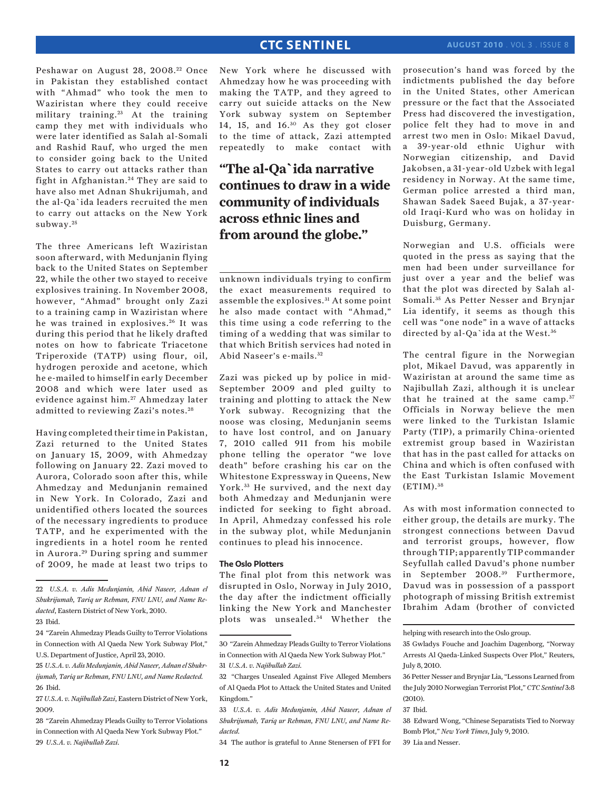Peshawar on August 28, 2008.<sup>22</sup> Once in Pakistan they established contact with "Ahmad" who took the men to Waziristan where they could receive military training. 23 At the training camp they met with individuals who were later identified as Salah al-Somali and Rashid Rauf, who urged the men to consider going back to the United States to carry out attacks rather than fight in Afghanistan.<sup>24</sup> They are said to have also met Adnan Shukrijumah, and the al-Qa`ida leaders recruited the men to carry out attacks on the New York subway.<sup>25</sup>

The three Americans left Waziristan soon afterward, with Medunjanin flying back to the United States on September 22, while the other two stayed to receive explosives training. In November 2008, however, "Ahmad" brought only Zazi to a training camp in Waziristan where he was trained in explosives.<sup>26</sup> It was during this period that he likely drafted notes on how to fabricate Triacetone Triperoxide (TATP) using flour, oil, hydrogen peroxide and acetone, which he e-mailed to himself in early December 2008 and which were later used as evidence against him.<sup>27</sup> Ahmedzay later admitted to reviewing Zazi's notes. <sup>28</sup>

Having completed their time in Pakistan, Zazi returned to the United States on January 15, 2009, with Ahmedzay following on January 22. Zazi moved to Aurora, Colorado soon after this, while Ahmedzay and Medunjanin remained in New York. In Colorado, Zazi and unidentified others located the sources of the necessary ingredients to produce TATP, and he experimented with the ingredients in a hotel room he rented in Aurora. 29 During spring and summer of 2009, he made at least two trips to

28 "Zarein Ahmedzay Pleads Guilty to Terror Violations in Connection with Al Qaeda New York Subway Plot." 29 *U.S.A. v. Najibullah Zazi.*

New York where he discussed with Ahmedzay how he was proceeding with making the TATP, and they agreed to carry out suicide attacks on the New York subway system on September 14, 15, and 16.30 As they got closer to the time of attack, Zazi attempted repeatedly to make contact with

# **"The al-Qa`ida narrative continues to draw in a wide community of individuals across ethnic lines and from around the globe."**

unknown individuals trying to confirm the exact measurements required to assemble the explosives. 31 At some point he also made contact with "Ahmad," this time using a code referring to the timing of a wedding that was similar to that which British services had noted in Abid Naseer's e-mails. <sup>32</sup>

Zazi was picked up by police in mid-September 2009 and pled guilty to training and plotting to attack the New York subway. Recognizing that the noose was closing, Medunjanin seems to have lost control, and on January 7, 2010 called 911 from his mobile phone telling the operator "we love death" before crashing his car on the Whitestone Expressway in Queens, New York.<sup>33</sup> He survived, and the next day both Ahmedzay and Medunjanin were indicted for seeking to fight abroad. In April, Ahmedzay confessed his role in the subway plot, while Medunjanin continues to plead his innocence.

### **The Oslo Plotters**

The final plot from this network was disrupted in Oslo, Norway in July 2010, the day after the indictment officially linking the New York and Manchester plots was unsealed.<sup>34</sup> Whether the prosecution's hand was forced by the indictments published the day before in the United States, other American pressure or the fact that the Associated Press had discovered the investigation, police felt they had to move in and arrest two men in Oslo: Mikael Davud, a 39-year-old ethnic Uighur with Norwegian citizenship, and David Jakobsen, a 31-year-old Uzbek with legal residency in Norway. At the same time, German police arrested a third man, Shawan Sadek Saeed Bujak, a 37-yearold Iraqi-Kurd who was on holiday in Duisburg, Germany.

Norwegian and U.S. officials were quoted in the press as saying that the men had been under surveillance for just over a year and the belief was that the plot was directed by Salah al-Somali. 35 As Petter Nesser and Brynjar Lia identify, it seems as though this cell was "one node" in a wave of attacks directed by al-Qa`ida at the West.<sup>36</sup>

The central figure in the Norwegian plot, Mikael Davud, was apparently in Waziristan at around the same time as Najibullah Zazi, although it is unclear that he trained at the same camp.<sup>37</sup> Officials in Norway believe the men were linked to the Turkistan Islamic Party (TIP), a primarily China-oriented extremist group based in Waziristan that has in the past called for attacks on China and which is often confused with the East Turkistan Islamic Movement (ETIM). <sup>38</sup>

As with most information connected to either group, the details are murky. The strongest connections between Davud and terrorist groups, however, flow through TIP; apparently TIP commander Seyfullah called Davud's phone number in September 2008.<sup>39</sup> Furthermore, Davud was in possession of a passport photograph of missing British extremist Ibrahim Adam (brother of convicted

39 Lia and Nesser.

<sup>22</sup> *U.S.A. v. Adis Medunjanin, Abid Naseer, Adnan el Shukrijumah, Tariq ur Rehman, FNU LNU, and Name Redacted*, Eastern District of New York, 2010.

<sup>23</sup> Ibid.

<sup>24 &</sup>quot;Zarein Ahmedzay Pleads Guilty to Terror Violations in Connection with Al Qaeda New York Subway Plot," U.S. Department of Justice, April 23, 2010.

<sup>25</sup> *U.S.A. v. Adis Medunjanin, Abid Naseer, Adnan el Shukrijumah, Tariq ur Rehman, FNU LNU, and Name Redacted.* 26 Ibid.

<sup>27</sup> *U.S.A. v. Najibullah Zazi*, Eastern District of New York, 2009.

<sup>30 &</sup>quot;Zarein Ahmedzay Pleads Guilty to Terror Violations in Connection with Al Qaeda New York Subway Plot." 31 *U.S.A. v. Najibullah Zazi.*

<sup>32 &</sup>quot;Charges Unsealed Against Five Alleged Members of Al Qaeda Plot to Attack the United States and United Kingdom."

<sup>33</sup> *U.S.A. v. Adis Medunjanin, Abid Naseer, Adnan el Shukrijumah, Tariq ur Rehman, FNU LNU, and Name Redacted.*

<sup>34</sup> The author is grateful to Anne Stenersen of FFI for

helping with research into the Oslo group.

<sup>35</sup> Gwladys Fouche and Joachim Dagenborg, "Norway Arrests Al Qaeda-Linked Suspects Over Plot," Reuters, July 8, 2010.

<sup>36</sup> Petter Nesser and Brynjar Lia, "Lessons Learned from the July 2010 Norwegian Terrorist Plot," *CTC Sentinel* 3:8 (2010).

<sup>37</sup> Ibid.

<sup>38</sup> Edward Wong, "Chinese Separatists Tied to Norway Bomb Plot," *New York Times*, July 9, 2010.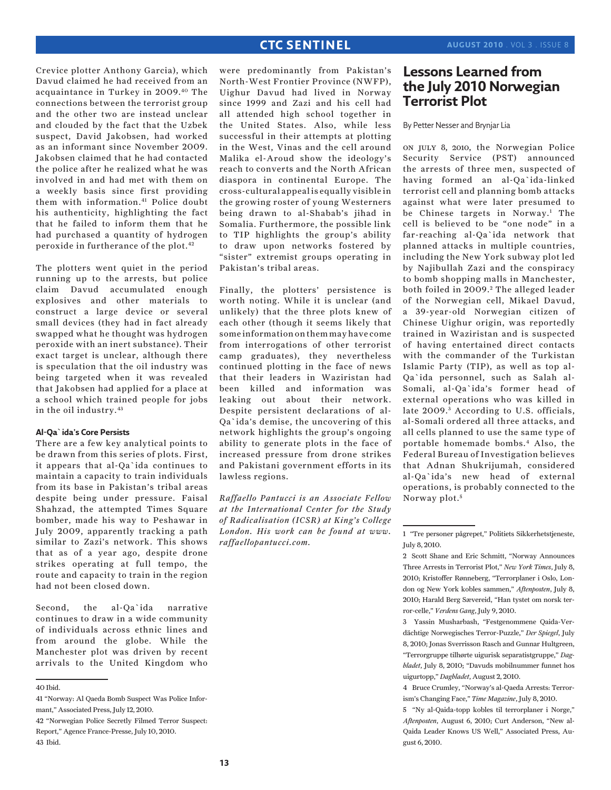Crevice plotter Anthony Garcia), which Davud claimed he had received from an acquaintance in Turkey in 2009.40 The connections between the terrorist group and the other two are instead unclear and clouded by the fact that the Uzbek suspect, David Jakobsen, had worked as an informant since November 2009. Jakobsen claimed that he had contacted the police after he realized what he was involved in and had met with them on a weekly basis since first providing them with information.<sup>41</sup> Police doubt his authenticity, highlighting the fact that he failed to inform them that he had purchased a quantity of hydrogen peroxide in furtherance of the plot.42

The plotters went quiet in the period running up to the arrests, but police claim Davud accumulated enough explosives and other materials to construct a large device or several small devices (they had in fact already swapped what he thought was hydrogen peroxide with an inert substance). Their exact target is unclear, although there is speculation that the oil industry was being targeted when it was revealed that Jakobsen had applied for a place at a school which trained people for jobs in the oil industry.43

### **Al-Qa`ida's Core Persists**

There are a few key analytical points to be drawn from this series of plots. First, it appears that al-Qa`ida continues to maintain a capacity to train individuals from its base in Pakistan's tribal areas despite being under pressure. Faisal Shahzad, the attempted Times Square bomber, made his way to Peshawar in July 2009, apparently tracking a path similar to Zazi's network. This shows that as of a year ago, despite drone strikes operating at full tempo, the route and capacity to train in the region had not been closed down.

Second, the al-Qa`ida narrative continues to draw in a wide community of individuals across ethnic lines and from around the globe. While the Manchester plot was driven by recent arrivals to the United Kingdom who

were predominantly from Pakistan's North-West Frontier Province (NWFP), Uighur Davud had lived in Norway since 1999 and Zazi and his cell had all attended high school together in the United States. Also, while less successful in their attempts at plotting in the West, Vinas and the cell around Malika el-Aroud show the ideology's reach to converts and the North African diaspora in continental Europe. The cross-cultural appeal is equally visible in the growing roster of young Westerners being drawn to al-Shabab's jihad in Somalia. Furthermore, the possible link to TIP highlights the group's ability to draw upon networks fostered by "sister" extremist groups operating in Pakistan's tribal areas.

Finally, the plotters' persistence is worth noting. While it is unclear (and unlikely) that the three plots knew of each other (though it seems likely that some information on them may have come from interrogations of other terrorist camp graduates), they nevertheless continued plotting in the face of news that their leaders in Waziristan had been killed and information was leaking out about their network. Despite persistent declarations of al-Qa`ida's demise, the uncovering of this network highlights the group's ongoing ability to generate plots in the face of increased pressure from drone strikes and Pakistani government efforts in its lawless regions.

*Raffaello Pantucci is an Associate Fellow at the International Center for the Study of Radicalisation (ICSR) at King's College London. His work can be found at www. raffaellopantucci.com.*

# **Lessons Learned from the July 2010 Norwegian Terrorist Plot**

By Petter Nesser and Brynjar Lia

on july 8, 2010, the Norwegian Police Security Service (PST) announced the arrests of three men, suspected of having formed an al-Qa`ida-linked terrorist cell and planning bomb attacks against what were later presumed to be Chinese targets in Norway.<sup>1</sup> The cell is believed to be "one node" in a far-reaching al-Qa`ida network that planned attacks in multiple countries, including the New York subway plot led by Najibullah Zazi and the conspiracy to bomb shopping malls in Manchester, both foiled in 2009.<sup>2</sup> The alleged leader of the Norwegian cell, Mikael Davud, a 39-year-old Norwegian citizen of Chinese Uighur origin, was reportedly trained in Waziristan and is suspected of having entertained direct contacts with the commander of the Turkistan Islamic Party (TIP), as well as top al-Qa`ida personnel, such as Salah al-Somali, al-Qa`ida's former head of external operations who was killed in late 2009.<sup>3</sup> According to U.S. officials, al-Somali ordered all three attacks, and all cells planned to use the same type of portable homemade bombs.4 Also, the Federal Bureau of Investigation believes that Adnan Shukrijumah, considered al-Qa`ida's new head of external operations, is probably connected to the Norway plot.<sup>5</sup>

3 Yassin Musharbash, "Festgenommene Qaida-Verdächtige Norwegisches Terror-Puzzle," *Der Spiegel*, July 8, 2010; Jonas Sverrisson Rasch and Gunnar Hultgreen, "Terrorgruppe tilhørte uigurisk separatistgruppe," *Dagbladet*, July 8, 2010; "Davuds mobilnummer funnet hos uigurtopp," *Dagbladet*, August 2, 2010.

4 Bruce Crumley, "Norway's al-Qaeda Arrests: Terrorism's Changing Face," *Time Magazine*, July 8, 2010.

5 "Ny al-Qaida-topp kobles til terrorplaner i Norge," *Aftenposten*, August 6, 2010; Curt Anderson, "New al-Qaida Leader Knows US Well," Associated Press, August 6, 2010.

<sup>40</sup> Ibid.

<sup>41 &</sup>quot;Norway: Al Qaeda Bomb Suspect Was Police Informant," Associated Press, July 12, 2010.

<sup>42 &</sup>quot;Norwegian Police Secretly Filmed Terror Suspect: Report," Agence France-Presse, July 10, 2010. 43 Ibid.

<sup>1 &</sup>quot;Tre personer pågrepet," Politiets Sikkerhetstjeneste, July 8, 2010.

<sup>2</sup> Scott Shane and Eric Schmitt, "Norway Announces Three Arrests in Terrorist Plot," *New York Times*, July 8, 2010; Kristoffer Rønneberg, "Terrorplaner i Oslo, London og New York kobles sammen," *Aftenposten*, July 8, 2010; Harald Berg Sævereid, "Han tystet om norsk terror-celle," *Verdens Gang*, July 9, 2010.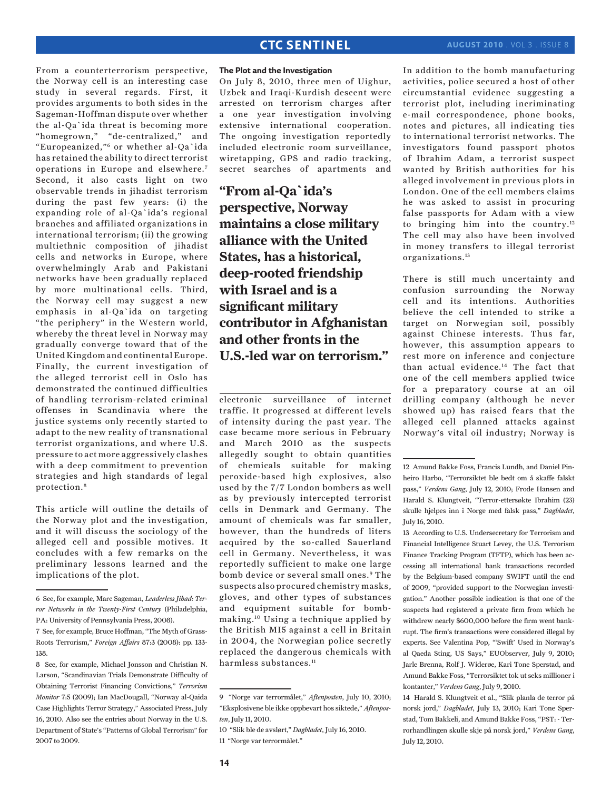### **august 2010** . Vol 3 . Issue 8

From a counterterrorism perspective, the Norway cell is an interesting case study in several regards. First, it provides arguments to both sides in the Sageman-Hoffman dispute over whether the al-Qa`ida threat is becoming more "homegrown," "de-centralized," and "Europeanized,"6 or whether al-Qa`ida has retained the ability to direct terrorist operations in Europe and elsewhere. 7 Second, it also casts light on two observable trends in jihadist terrorism during the past few years: (i) the expanding role of al-Qa`ida's regional branches and affiliated organizations in international terrorism; (ii) the growing multiethnic composition of jihadist cells and networks in Europe, where overwhelmingly Arab and Pakistani networks have been gradually replaced by more multinational cells. Third, the Norway cell may suggest a new emphasis in al-Qa`ida on targeting "the periphery" in the Western world, whereby the threat level in Norway may gradually converge toward that of the United Kingdom and continental Europe. Finally, the current investigation of the alleged terrorist cell in Oslo has demonstrated the continued difficulties of handling terrorism-related criminal offenses in Scandinavia where the justice systems only recently started to adapt to the new reality of transnational terrorist organizations, and where U.S. pressure to act more aggressively clashes with a deep commitment to prevention strategies and high standards of legal protection.8

This article will outline the details of the Norway plot and the investigation, and it will discuss the sociology of the alleged cell and possible motives. It concludes with a few remarks on the preliminary lessons learned and the implications of the plot.

### **The Plot and the Investigation**

On July 8, 2010, three men of Uighur, Uzbek and Iraqi-Kurdish descent were arrested on terrorism charges after a one year investigation involving extensive international cooperation. The ongoing investigation reportedly included electronic room surveillance, wiretapping, GPS and radio tracking, secret searches of apartments and

**"From al-Qa`ida's perspective, Norway maintains a close military alliance with the United States, has a historical, deep-rooted friendship with Israel and is a significant military contributor in Afghanistan and other fronts in the U.S.-led war on terrorism."**

electronic surveillance of internet traffic. It progressed at different levels of intensity during the past year. The case became more serious in February and March 2010 as the suspects allegedly sought to obtain quantities of chemicals suitable for making peroxide-based high explosives, also used by the 7/7 London bombers as well as by previously intercepted terrorist cells in Denmark and Germany. The amount of chemicals was far smaller, however, than the hundreds of liters acquired by the so-called Sauerland cell in Germany. Nevertheless, it was reportedly sufficient to make one large bomb device or several small ones.<sup>9</sup> The suspects also procured chemistry masks, gloves, and other types of substances and equipment suitable for bombmaking.10 Using a technique applied by the British MI5 against a cell in Britain in 2004, the Norwegian police secretly replaced the dangerous chemicals with harmless substances.<sup>11</sup>

In addition to the bomb manufacturing activities, police secured a host of other circumstantial evidence suggesting a terrorist plot, including incriminating e-mail correspondence, phone books, notes and pictures, all indicating ties to international terrorist networks. The investigators found passport photos of Ibrahim Adam, a terrorist suspect wanted by British authorities for his alleged involvement in previous plots in London. One of the cell members claims he was asked to assist in procuring false passports for Adam with a view to bringing him into the country.12 The cell may also have been involved in money transfers to illegal terrorist organizations.13

There is still much uncertainty and confusion surrounding the Norway cell and its intentions. Authorities believe the cell intended to strike a target on Norwegian soil, possibly against Chinese interests. Thus far, however, this assumption appears to rest more on inference and conjecture than actual evidence.14 The fact that one of the cell members applied twice for a preparatory course at an oil drilling company (although he never showed up) has raised fears that the alleged cell planned attacks against Norway's vital oil industry; Norway is

13 According to U.S. Undersecretary for Terrorism and Financial Intelligence Stuart Levey, the U.S. Terrorism Finance Tracking Program (TFTP), which has been accessing all international bank transactions recorded by the Belgium-based company SWIFT until the end of 2009, "provided support to the Norwegian investigation." Another possible indication is that one of the suspects had registered a private firm from which he withdrew nearly \$600,000 before the firm went bankrupt. The firm's transactions were considered illegal by experts. See Valentina Pop, "'Swift' Used in Norway's al Qaeda Sting, US Says," EUObserver, July 9, 2010; Jarle Brenna, Rolf J. Widerøe, Kari Tone Sperstad, and Amund Bakke Foss, "Terrorsiktet tok ut seks millioner i kontanter," *Verdens Gang*, July 9, 2010.

14 Harald S. Klungtveit et al., "Slik planla de terror på norsk jord," *Dagbladet*, July 13, 2010; Kari Tone Sperstad, Tom Bakkeli, and Amund Bakke Foss, "PST: - Terrorhandlingen skulle skje på norsk jord," *Verdens Gang*, July 12, 2010.

<sup>6</sup> See, for example, Marc Sageman, *Leaderless Jihad: Terror Networks in the Twenty-First Century* (Philadelphia, PA: University of Pennsylvania Press, 2008).

<sup>7</sup> See, for example, Bruce Hoffman, "The Myth of Grass-Roots Terrorism," *Foreign Affairs* 87:3 (2008): pp. 133- 138.

<sup>8</sup> See, for example, Michael Jonsson and Christian N. Larson, "Scandinavian Trials Demonstrate Difficulty of Obtaining Terrorist Financing Convictions," *Terrorism Monitor* 7:5 (2009); Ian MacDougall, "Norway al-Qaida Case Highlights Terror Strategy," Associated Press, July 16, 2010. Also see the entries about Norway in the U.S. Department of State's "Patterns of Global Terrorism" for 2007 to 2009.

<sup>9 &</sup>quot;Norge var terrormålet," *Aftenposten*, July 10, 2010; "Eksplosivene ble ikke oppbevart hos siktede," *Aftenposten*, July 11, 2010.

<sup>10 &</sup>quot;Slik ble de avslørt," *Dagbladet*, July 16, 2010. 11 "Norge var terrormålet."

<sup>12</sup> Amund Bakke Foss, Francis Lundh, and Daniel Pinheiro Harbo, "Terrorsiktet ble bedt om å skaffe falskt pass," *Verdens Gang*, July 12, 2010; Frode Hansen and Harald S. Klungtveit, "Terror-ettersøkte Ibrahim (23) skulle hjelpes inn i Norge med falsk pass," *Dagbladet*, July 16, 2010.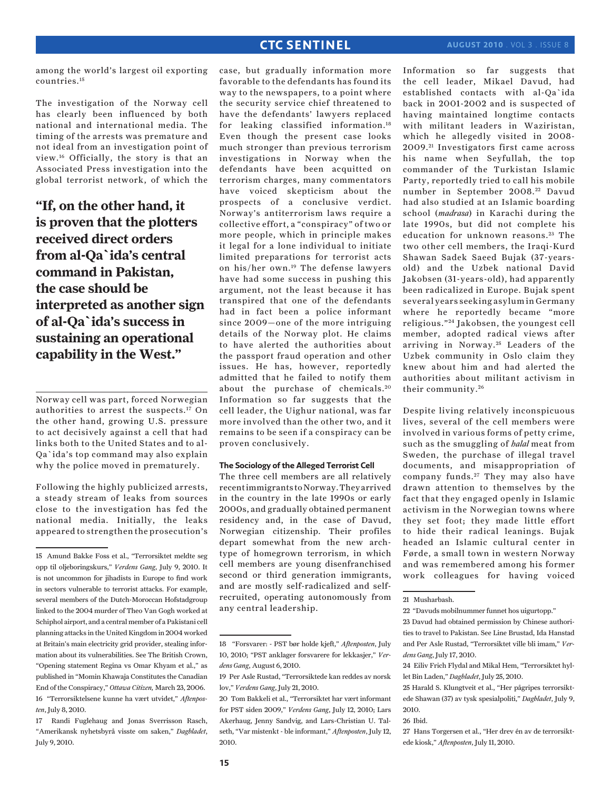among the world's largest oil exporting countries.15

The investigation of the Norway cell has clearly been influenced by both national and international media. The timing of the arrests was premature and not ideal from an investigation point of view.16 Officially, the story is that an Associated Press investigation into the global terrorist network, of which the

**"If, on the other hand, it is proven that the plotters received direct orders from al-Qa`ida's central command in Pakistan, the case should be interpreted as another sign of al-Qa`ida's success in sustaining an operational capability in the West."**

Norway cell was part, forced Norwegian authorities to arrest the suspects.17 On the other hand, growing U.S. pressure to act decisively against a cell that had links both to the United States and to al-Qa`ida's top command may also explain why the police moved in prematurely.

Following the highly publicized arrests, a steady stream of leaks from sources close to the investigation has fed the national media. Initially, the leaks appeared to strengthen the prosecution's

17 Randi Fuglehaug and Jonas Sverrisson Rasch, "Amerikansk nyhetsbyrå visste om saken," *Dagbladet*, July 9, 2010.

case, but gradually information more favorable to the defendants has found its way to the newspapers, to a point where the security service chief threatened to have the defendants' lawyers replaced for leaking classified information.<sup>18</sup> Even though the present case looks much stronger than previous terrorism investigations in Norway when the defendants have been acquitted on terrorism charges, many commentators have voiced skepticism about the prospects of a conclusive verdict. Norway's antiterrorism laws require a collective effort, a "conspiracy" of two or more people, which in principle makes it legal for a lone individual to initiate limited preparations for terrorist acts on his/her own.19 The defense lawyers have had some success in pushing this argument, not the least because it has transpired that one of the defendants had in fact been a police informant since 2009—one of the more intriguing details of the Norway plot. He claims to have alerted the authorities about the passport fraud operation and other issues. He has, however, reportedly admitted that he failed to notify them about the purchase of chemicals.<sup>20</sup> Information so far suggests that the cell leader, the Uighur national, was far more involved than the other two, and it remains to be seen if a conspiracy can be proven conclusively.

### **The Sociology of the Alleged Terrorist Cell**

The three cell members are all relatively recent immigrants to Norway. They arrived in the country in the late 1990s or early 2000s, and gradually obtained permanent residency and, in the case of Davud, Norwegian citizenship. Their profiles depart somewhat from the new archtype of homegrown terrorism, in which cell members are young disenfranchised second or third generation immigrants, and are mostly self-radicalized and selfrecruited, operating autonomously from any central leadership.

Information so far suggests that the cell leader, Mikael Davud, had established contacts with al-Qa`ida back in 2001-2002 and is suspected of having maintained longtime contacts with militant leaders in Waziristan, which he allegedly visited in 2008- 2009. 21 Investigators first came across his name when Seyfullah, the top commander of the Turkistan Islamic Party, reportedly tried to call his mobile number in September 2008.<sup>22</sup> Davud had also studied at an Islamic boarding school (*madrasa*) in Karachi during the late 1990s, but did not complete his education for unknown reasons.<sup>23</sup> The two other cell members, the Iraqi-Kurd Shawan Sadek Saeed Bujak (37-yearsold) and the Uzbek national David Jakobsen (31-years-old), had apparently been radicalized in Europe. Bujak spent several years seeking asylum in Germany where he reportedly became "more religious." 24 Jakobsen, the youngest cell member, adopted radical views after arriving in Norway.<sup>25</sup> Leaders of the Uzbek community in Oslo claim they knew about him and had alerted the authorities about militant activism in their community. <sup>26</sup>

Despite living relatively inconspicuous lives, several of the cell members were involved in various forms of petty crime, such as the smuggling of *halal* meat from Sweden, the purchase of illegal travel documents, and misappropriation of company funds.<sup>27</sup> They may also have drawn attention to themselves by the fact that they engaged openly in Islamic activism in the Norwegian towns where they set foot; they made little effort to hide their radical leanings. Bujak headed an Islamic cultural center in Førde, a small town in western Norway and was remembered among his former work colleagues for having voiced

<sup>15</sup> Amund Bakke Foss et al., "Terrorsiktet meldte seg opp til oljeboringskurs," *Verdens Gang*, July 9, 2010. It is not uncommon for jihadists in Europe to find work in sectors vulnerable to terrorist attacks. For example, several members of the Dutch-Moroccan Hofstadgroup linked to the 2004 murder of Theo Van Gogh worked at Schiphol airport, and a central member of a Pakistani cell planning attacks in the United Kingdom in 2004 worked at Britain's main electricity grid provider, stealing information about its vulnerabilities. See The British Crown, "Opening statement Regina vs Omar Khyam et al.," as published in "Momin Khawaja Constitutes the Canadian End of the Conspiracy," *Ottawa Citizen,* March 23, 2006. 16 "Terrorsiktelsene kunne ha vært utvidet," *Aftenposten*, July 8, 2010.

<sup>18 &</sup>quot;Forsvarer: - PST bør holde kjeft," *Aftenposten*, July 10, 2010; "PST anklager forsvarere for lekkasjer," *Verdens Gang*, August 6, 2010.

<sup>19</sup> Per Asle Rustad, "Terrorsiktede kan reddes av norsk lov," *Verdens Gang*, July 21, 2010.

<sup>20</sup> Tom Bakkeli et al., "Terrorsiktet har vært informant for PST siden 2009," *Verdens Gang*, July 12, 2010; Lars Akerhaug, Jenny Sandvig, and Lars-Christian U. Talseth, "Var mistenkt - ble informant," *Aftenposten*, July 12, 2010.

<sup>21</sup> Musharbash.

<sup>22 &</sup>quot;Davuds mobilnummer funnet hos uigurtopp."

<sup>23</sup> Davud had obtained permission by Chinese authorities to travel to Pakistan. See Line Brustad, Ida Hanstad and Per Asle Rustad, "Terrorsiktet ville bli imam," *Verdens Gang*, July 17, 2010.

<sup>24</sup> Eiliv Frich Flydal and Mikal Hem, "Terrorsiktet hyllet Bin Laden," *Dagbladet*, July 25, 2010.

<sup>25</sup> Harald S. Klungtveit et al., "Her pågripes terrorsiktede Shawan (37) av tysk spesialpoliti," *Dagbladet*, July 9, 2010.

<sup>26</sup> Ibid.

<sup>27</sup> Hans Torgersen et al., "Her drev én av de terrorsiktede kiosk," *Aftenposten*, July 11, 2010.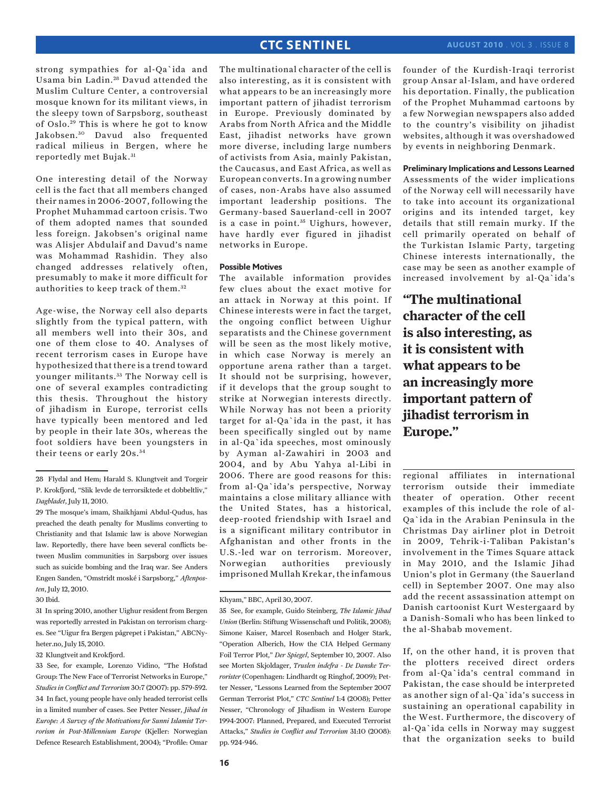strong sympathies for al-Qa`ida and Usama bin Ladin. 28 Davud attended the Muslim Culture Center, a controversial mosque known for its militant views, in the sleepy town of Sarpsborg, southeast of Oslo.<sup>29</sup> This is where he got to know Jakobsen.<sup>30</sup> Davud also frequented radical milieus in Bergen, where he reportedly met Bujak. <sup>31</sup>

One interesting detail of the Norway cell is the fact that all members changed their names in 2006-2007, following the Prophet Muhammad cartoon crisis. Two of them adopted names that sounded less foreign. Jakobsen's original name was Alisjer Abdulaif and Davud's name was Mohammad Rashidin. They also changed addresses relatively often, presumably to make it more difficult for authorities to keep track of them. <sup>32</sup>

Age-wise, the Norway cell also departs slightly from the typical pattern, with all members well into their 30s, and one of them close to 40. Analyses of recent terrorism cases in Europe have hypothesized that there is a trend toward younger militants. 33 The Norway cell is one of several examples contradicting this thesis. Throughout the history of jihadism in Europe, terrorist cells have typically been mentored and led by people in their late 30s, whereas the foot soldiers have been youngsters in their teens or early 20s. <sup>34</sup>

The multinational character of the cell is also interesting, as it is consistent with what appears to be an increasingly more important pattern of jihadist terrorism in Europe. Previously dominated by Arabs from North Africa and the Middle East, jihadist networks have grown more diverse, including large numbers of activists from Asia, mainly Pakistan, the Caucasus, and East Africa, as well as European converts. In a growing number of cases, non-Arabs have also assumed important leadership positions. The Germany-based Sauerland-cell in 2007 is a case in point.<sup>35</sup> Uighurs, however, have hardly ever figured in jihadist networks in Europe.

### **Possible Motives**

The available information provides few clues about the exact motive for an attack in Norway at this point. If Chinese interests were in fact the target, the ongoing conflict between Uighur separatists and the Chinese government will be seen as the most likely motive, in which case Norway is merely an opportune arena rather than a target. It should not be surprising, however, if it develops that the group sought to strike at Norwegian interests directly. While Norway has not been a priority target for al-Qa`ida in the past, it has been specifically singled out by name in al-Qa`ida speeches, most ominously by Ayman al-Zawahiri in 2003 and 2004, and by Abu Yahya al-Libi in 2006. There are good reasons for this: from al-Qa`ida's perspective, Norway maintains a close military alliance with the United States, has a historical, deep-rooted friendship with Israel and is a significant military contributor in Afghanistan and other fronts in the U.S.-led war on terrorism. Moreover, Norwegian authorities previously imprisoned Mullah Krekar, the infamous

### Khyam," BBC, April 30, 2007.

35 See, for example, Guido Steinberg, *The Islamic Jihad Union* (Berlin: Stiftung Wissenschaft und Politik, 2008); Simone Kaiser, Marcel Rosenbach and Holger Stark, "Operation Alberich, How the CIA Helped Germany Foil Terror Plot," *Der Spiegel*, September 10, 2007. Also see Morten Skjoldager, *Truslen indefra - De Danske Terrorister* (Copenhagen: Lindhardt og Ringhof, 2009); Petter Nesser, "Lessons Learned from the September 2007 German Terrorist Plot," *CTC Sentinel* 1:4 (2008); Petter Nesser, "Chronology of Jihadism in Western Europe 1994-2007: Planned, Prepared, and Executed Terrorist Attacks," *Studies in Conflict and Terrorism* 31:10 (2008): pp. 924-946.

founder of the Kurdish-Iraqi terrorist group Ansar al-Islam, and have ordered his deportation. Finally, the publication of the Prophet Muhammad cartoons by a few Norwegian newspapers also added to the country's visibility on jihadist websites, although it was overshadowed by events in neighboring Denmark.

### **Preliminary Implications and Lessons Learned**

Assessments of the wider implications of the Norway cell will necessarily have to take into account its organizational origins and its intended target, key details that still remain murky. If the cell primarily operated on behalf of the Turkistan Islamic Party, targeting Chinese interests internationally, the case may be seen as another example of increased involvement by al-Qa`ida's

**"The multinational character of the cell is also interesting, as it is consistent with what appears to be an increasingly more important pattern of jihadist terrorism in Europe."**

regional affiliates in international terrorism outside their immediate theater of operation. Other recent examples of this include the role of al-Qa`ida in the Arabian Peninsula in the Christmas Day airliner plot in Detroit in 2009, Tehrik-i-Taliban Pakistan's involvement in the Times Square attack in May 2010, and the Islamic Jihad Union's plot in Germany (the Sauerland cell) in September 2007. One may also add the recent assassination attempt on Danish cartoonist Kurt Westergaard by a Danish-Somali who has been linked to the al-Shabab movement.

If, on the other hand, it is proven that the plotters received direct orders from al-Qa`ida's central command in Pakistan, the case should be interpreted as another sign of al-Qa`ida's success in sustaining an operational capability in the West. Furthermore, the discovery of al-Qa`ida cells in Norway may suggest that the organization seeks to build

<sup>28</sup> Flydal and Hem; Harald S. Klungtveit and Torgeir P. Krokfjord, "Slik levde de terrorsiktede et dobbeltliv," *Dagbladet*, July 11, 2010.

<sup>29</sup> The mosque's imam, Shaikhjami Abdul-Qudus, has preached the death penalty for Muslims converting to Christianity and that Islamic law is above Norwegian law. Reportedly, there have been several conflicts between Muslim communities in Sarpsborg over issues such as suicide bombing and the Iraq war. See Anders Engen Sanden, "Omstridt moské i Sarpsborg," *Aftenposten*, July 12, 2010.

<sup>30</sup> Ibid.

<sup>31</sup> In spring 2010, another Uighur resident from Bergen was reportedly arrested in Pakistan on terrorism charges. See "Uigur fra Bergen pågrepet i Pakistan," ABCNyheter.no, July 15, 2010.

<sup>32</sup> Klungtveit and Krokfjord.

<sup>33</sup> See, for example, Lorenzo Vidino, "The Hofstad Group: The New Face of Terrorist Networks in Europe," *Studies in Conflict and Terrorism* 30:7 (2007): pp. 579-592. 34 In fact, young people have only headed terrorist cells in a limited number of cases. See Petter Nesser, *Jihad in Europe: A Survey of the Motivations for Sunni Islamist Terrorism in Post-Millennium Europe* (Kjeller: Norwegian Defence Research Establishment, 2004); "Profile: Omar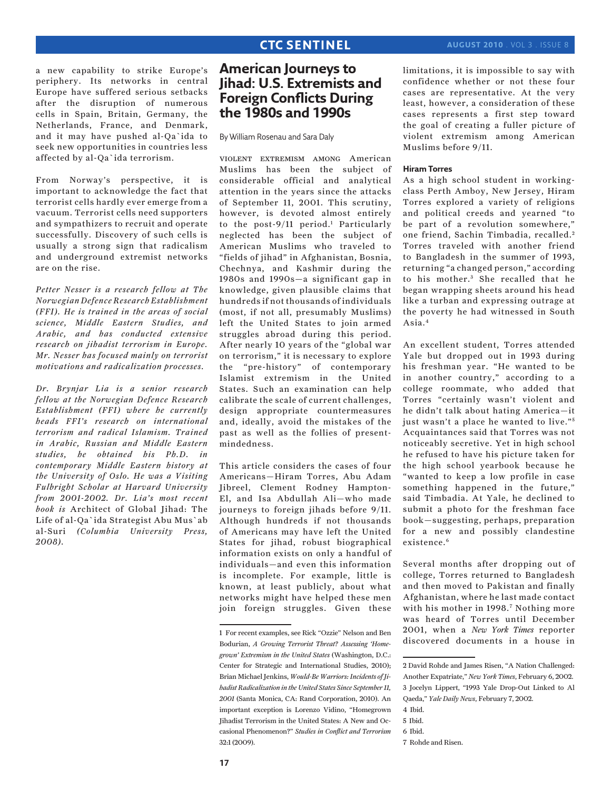a new capability to strike Europe's periphery. Its networks in central Europe have suffered serious setbacks after the disruption of numerous cells in Spain, Britain, Germany, the Netherlands, France, and Denmark, and it may have pushed al-Qa`ida to seek new opportunities in countries less affected by al-Qa`ida terrorism.

From Norway's perspective, it is important to acknowledge the fact that terrorist cells hardly ever emerge from a vacuum. Terrorist cells need supporters and sympathizers to recruit and operate successfully. Discovery of such cells is usually a strong sign that radicalism and underground extremist networks are on the rise.

*Petter Nesser is a research fellow at The Norwegian Defence Research Establishment (FFI). He is trained in the areas of social science, Middle Eastern Studies, and Arabic, and has conducted extensive research on jihadist terrorism in Europe. Mr. Nesser has focused mainly on terrorist motivations and radicalization processes.*

*Dr. Brynjar Lia is a senior research fellow at the Norwegian Defence Research Establishment (FFI) where he currently heads FFI's research on international terrorism and radical Islamism. Trained in Arabic, Russian and Middle Eastern studies, he obtained his Ph.D. in contemporary Middle Eastern history at the University of Oslo. He was a Visiting Fulbright Scholar at Harvard University from 2001-2002. Dr. Lia's most recent book is* Architect of Global Jihad: The Life of al-Qa`ida Strategist Abu Mus`ab al-Suri *(Columbia University Press, 2008).*

# **American Journeys to Jihad: U.S. Extremists and Foreign Conflicts During the 1980s and 1990s**

By William Rosenau and Sara Daly

violent extremism among American Muslims has been the subject of considerable official and analytical attention in the years since the attacks of September 11, 2001. This scrutiny, however, is devoted almost entirely to the post-9/11 period.<sup>1</sup> Particularly neglected has been the subject of American Muslims who traveled to "fields of jihad" in Afghanistan, Bosnia, Chechnya, and Kashmir during the 1980s and 1990s—a significant gap in knowledge, given plausible claims that hundreds if not thousands of individuals (most, if not all, presumably Muslims) left the United States to join armed struggles abroad during this period. After nearly 10 years of the "global war on terrorism," it is necessary to explore the "pre-history" of contemporary Islamist extremism in the United States. Such an examination can help calibrate the scale of current challenges, design appropriate countermeasures and, ideally, avoid the mistakes of the past as well as the follies of presentmindedness.

This article considers the cases of four Americans—Hiram Torres, Abu Adam Jibreel, Clement Rodney Hampton-El, and Isa Abdullah Ali—who made journeys to foreign jihads before 9/11. Although hundreds if not thousands of Americans may have left the United States for jihad, robust biographical information exists on only a handful of individuals—and even this information is incomplete. For example, little is known, at least publicly, about what networks might have helped these men join foreign struggles. Given these limitations, it is impossible to say with confidence whether or not these four cases are representative. At the very least, however, a consideration of these cases represents a first step toward the goal of creating a fuller picture of violent extremism among American Muslims before 9/11.

### **Hiram Torres**

As a high school student in workingclass Perth Amboy, New Jersey, Hiram Torres explored a variety of religions and political creeds and yearned "to be part of a revolution somewhere," one friend, Sachin Timbadia, recalled.<sup>2</sup> Torres traveled with another friend to Bangladesh in the summer of 1993, returning "a changed person," according to his mother.<sup>3</sup> She recalled that he began wrapping sheets around his head like a turban and expressing outrage at the poverty he had witnessed in South Asia.4

An excellent student, Torres attended Yale but dropped out in 1993 during his freshman year. "He wanted to be in another country," according to a college roommate, who added that Torres "certainly wasn't violent and he didn't talk about hating America—it just wasn't a place he wanted to live."<sup>5</sup> Acquaintances said that Torres was not noticeably secretive. Yet in high school he refused to have his picture taken for the high school yearbook because he "wanted to keep a low profile in case something happened in the future," said Timbadia. At Yale, he declined to submit a photo for the freshman face book—suggesting, perhaps, preparation for a new and possibly clandestine existence.<sup>6</sup>

Several months after dropping out of college, Torres returned to Bangladesh and then moved to Pakistan and finally Afghanistan, where he last made contact with his mother in 1998.<sup>7</sup> Nothing more was heard of Torres until December 2001, when a *New York Times* reporter discovered documents in a house in

6 Ibid.

<sup>1</sup> For recent examples, see Rick "Ozzie" Nelson and Ben Bodurian, *A Growing Terrorist Threat? Assessing 'Homegrown' Extremism in the United States* (Washington, D.C.: Center for Strategic and International Studies, 2010); Brian Michael Jenkins, *Would-Be Warriors: Incidents of Jihadist Radicalization in the United States Since September 11, 2001* (Santa Monica, CA: Rand Corporation, 2010). An important exception is Lorenzo Vidino, "Homegrown Jihadist Terrorism in the United States: A New and Occasional Phenomenon?" *Studies in Conflict and Terrorism* 32:1 (2009).

<sup>2</sup> David Rohde and James Risen, "A Nation Challenged: Another Expatriate," *New York Times*, February 6, 2002. 3 Jocelyn Lippert, "1993 Yale Drop-Out Linked to Al Qaeda," *Yale Daily News*, February 7, 2002.

<sup>4</sup> Ibid. 5 Ibid.

<sup>7</sup> Rohde and Risen.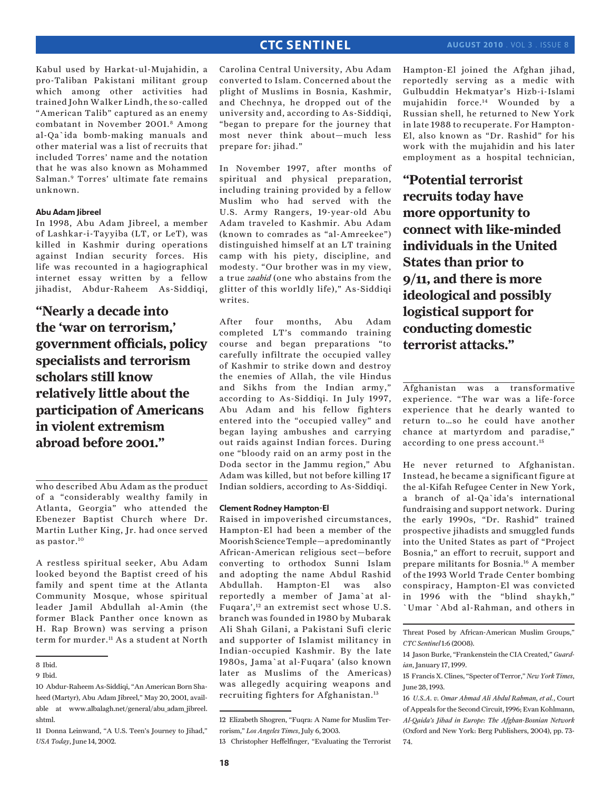Kabul used by Harkat-ul-Mujahidin, a pro-Taliban Pakistani militant group which among other activities had trained John Walker Lindh, the so-called "American Talib" captured as an enemy combatant in November 2001.8 Among al-Qa`ida bomb-making manuals and other material was a list of recruits that included Torres' name and the notation that he was also known as Mohammed Salman.9 Torres' ultimate fate remains unknown.

### **Abu Adam Jibreel**

In 1998, Abu Adam Jibreel, a member of Lashkar-i-Tayyiba (LT, or LeT), was killed in Kashmir during operations against Indian security forces. His life was recounted in a hagiographical internet essay written by a fellow jihadist, Abdur-Raheem As-Siddiqi,

**"Nearly a decade into the 'war on terrorism,' government officials, policy specialists and terrorism scholars still know relatively little about the participation of Americans in violent extremism abroad before 2001."**

who described Abu Adam as the product of a "considerably wealthy family in Atlanta, Georgia" who attended the Ebenezer Baptist Church where Dr. Martin Luther King, Jr. had once served as pastor.10

A restless spiritual seeker, Abu Adam looked beyond the Baptist creed of his family and spent time at the Atlanta Community Mosque, whose spiritual leader Jamil Abdullah al-Amin (the former Black Panther once known as H. Rap Brown) was serving a prison term for murder.<sup>11</sup> As a student at North

Carolina Central University, Abu Adam converted to Islam. Concerned about the plight of Muslims in Bosnia, Kashmir, and Chechnya, he dropped out of the university and, according to As-Siddiqi, "began to prepare for the journey that most never think about—much less prepare for: jihad."

In November 1997, after months of spiritual and physical preparation, including training provided by a fellow Muslim who had served with the U.S. Army Rangers, 19-year-old Abu Adam traveled to Kashmir. Abu Adam (known to comrades as "al-Amreekee") distinguished himself at an LT training camp with his piety, discipline, and modesty. "Our brother was in my view, a true *zaahid* (one who abstains from the glitter of this worldly life)," As-Siddiqi writes.

After four months, Abu Adam completed LT's commando training course and began preparations "to carefully infiltrate the occupied valley of Kashmir to strike down and destroy the enemies of Allah, the vile Hindus and Sikhs from the Indian army," according to As-Siddiqi. In July 1997, Abu Adam and his fellow fighters entered into the "occupied valley" and began laying ambushes and carrying out raids against Indian forces. During one "bloody raid on an army post in the Doda sector in the Jammu region," Abu Adam was killed, but not before killing 17 Indian soldiers, according to As-Siddiqi.

### **Clement Rodney Hampton-El**

Raised in impoverished circumstances, Hampton-El had been a member of the Moorish Science Temple—a predominantly African-American religious sect—before converting to orthodox Sunni Islam and adopting the name Abdul Rashid Abdullah. Hampton-El was also reportedly a member of Jama`at al-Fuqara',12 an extremist sect whose U.S. branch was founded in 1980 by Mubarak Ali Shah Gilani, a Pakistani Sufi cleric and supporter of Islamist militancy in Indian-occupied Kashmir. By the late 1980s, Jama`at al-Fuqara' (also known later as Muslims of the Americas) was allegedly acquiring weapons and recruiting fighters for Afghanistan.<sup>13</sup>

Hampton-El joined the Afghan jihad, reportedly serving as a medic with Gulbuddin Hekmatyar's Hizb-i-Islami mujahidin force.14 Wounded by a Russian shell, he returned to New York in late 1988 to recuperate. For Hampton-El, also known as "Dr. Rashid" for his work with the mujahidin and his later employment as a hospital technician,

**"Potential terrorist recruits today have more opportunity to connect with like-minded individuals in the United States than prior to 9/11, and there is more ideological and possibly logistical support for conducting domestic terrorist attacks."**

Afghanistan was a transformative experience. "The war was a life-force experience that he dearly wanted to return to…so he could have another chance at martyrdom and paradise," according to one press account.<sup>15</sup>

He never returned to Afghanistan. Instead, he became a significant figure at the al-Kifah Refugee Center in New York, a branch of al-Qa`ida's international fundraising and support network. During the early 1990s, "Dr. Rashid" trained prospective jihadists and smuggled funds into the United States as part of "Project Bosnia," an effort to recruit, support and prepare militants for Bosnia.16 A member of the 1993 World Trade Center bombing conspiracy, Hampton-El was convicted in 1996 with the "blind shaykh," `Umar `Abd al-Rahman, and others in

<sup>8</sup> Ibid.

<sup>9</sup> Ibid.

<sup>10</sup> Abdur-Raheem As-Siddiqi, "An American Born Shaheed (Martyr), Abu Adam Jibreel," May 20, 2001, available at www.albalagh.net/general/abu\_adam\_jibreel. shtml.

<sup>11</sup> Donna Leinwand, "A U.S. Teen's Journey to Jihad," *USA Today*, June 14, 2002.

<sup>12</sup> Elizabeth Shogren, "Fuqra: A Name for Muslim Terrorism," *Los Angeles Times*, July 6, 2003.

<sup>13</sup> Christopher Heffelfinger, "Evaluating the Terrorist

Threat Posed by African-American Muslim Groups," *CTC Sentinel* 1:6 (2008).

<sup>14</sup> Jason Burke, "Frankenstein the CIA Created," *Guardian*, January 17, 1999.

<sup>15</sup> Francis X. Clines, "Specter of Terror," *New York Times*, June 28, 1993.

<sup>16</sup> *U.S.A. v. Omar Ahmad Ali Abdul Rahman, et al.*, Court of Appeals for the Second Circuit, 1996; Evan Kohlmann, *Al-Qaida's Jihad in Europe: The Afghan-Bosnian Network* (Oxford and New York: Berg Publishers, 2004), pp. 73- 74.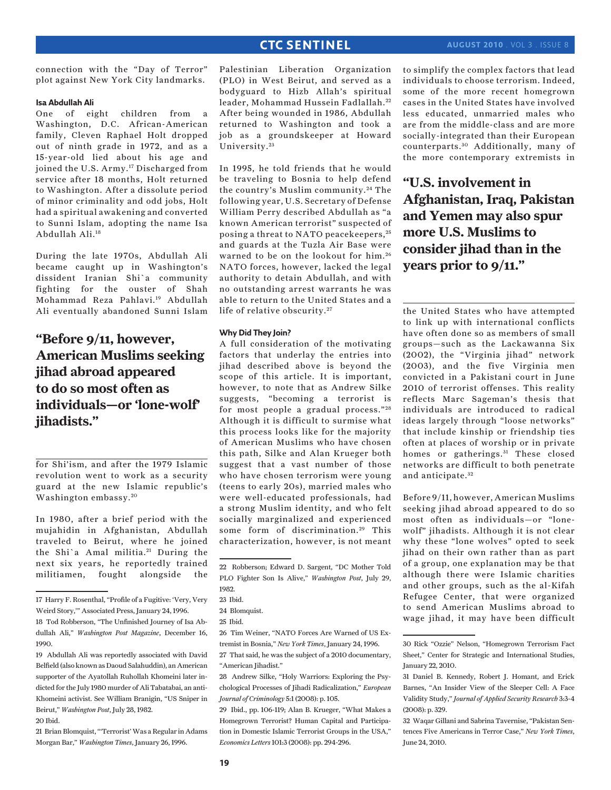### 23 Ibid.

1982.

22 Robberson; Edward D. Sargent, "DC Mother Told PLO Fighter Son Is Alive," *Washington Post*, July 29,

29 Ibid., pp. 106-119; Alan B. Krueger, "What Makes a Homegrown Terrorist? Human Capital and Participation in Domestic Islamic Terrorist Groups in the USA," *Economics Letters* 101:3 (2008): pp. 294-296.

to simplify the complex factors that lead individuals to choose terrorism. Indeed, some of the more recent homegrown cases in the United States have involved less educated, unmarried males who are from the middle-class and are more socially-integrated than their European counterparts. 30 Additionally, many of the more contemporary extremists in

**"U.S. involvement in Afghanistan, Iraq, Pakistan and Yemen may also spur more U.S. Muslims to consider jihad than in the years prior to 9/11."**

the United States who have attempted to link up with international conflicts have often done so as members of small groups—such as the Lackawanna Six (2002), the "Virginia jihad" network (2003), and the five Virginia men convicted in a Pakistani court in June 2010 of terrorist offenses. This reality reflects Marc Sageman's thesis that individuals are introduced to radical ideas largely through "loose networks" that include kinship or friendship ties often at places of worship or in private homes or gatherings.<sup>31</sup> These closed networks are difficult to both penetrate and anticipate.<sup>32</sup>

Before 9/11, however, American Muslims seeking jihad abroad appeared to do so most often as individuals—or "lonewolf" jihadists. Although it is not clear why these "lone wolves" opted to seek jihad on their own rather than as part of a group, one explanation may be that although there were Islamic charities and other groups, such as the al-Kifah Refugee Center, that were organized to send American Muslims abroad to wage jihad, it may have been difficult

connection with the "Day of Terror" plot against New York City landmarks.

### **Isa Abdullah Ali**

One of eight children from a Washington, D.C. African-American family, Cleven Raphael Holt dropped out of ninth grade in 1972, and as a 15-year-old lied about his age and joined the U.S. Army.<sup>17</sup> Discharged from service after 18 months, Holt returned to Washington. After a dissolute period of minor criminality and odd jobs, Holt had a spiritual awakening and converted to Sunni Islam, adopting the name Isa Abdullah Ali.18

During the late 1970s, Abdullah Ali became caught up in Washington's dissident Iranian Shi`a community fighting for the ouster of Shah Mohammad Reza Pahlavi.19 Abdullah Ali eventually abandoned Sunni Islam

# **"Before 9/11, however, American Muslims seeking jihad abroad appeared to do so most often as individuals—or 'lone-wolf' jihadists."**

for Shi'ism, and after the 1979 Islamic revolution went to work as a security guard at the new Islamic republic's Washington embassy. <sup>20</sup>

In 1980, after a brief period with the mujahidin in Afghanistan, Abdullah traveled to Beirut, where he joined the Shi'a Amal militia.<sup>21</sup> During the next six years, he reportedly trained militiamen, fought alongside the

21 Brian Blomquist, "'Terrorist' Was a Regular in Adams Morgan Bar," *Washington Times*, January 26, 1996.

Palestinian Liberation Organization (PLO) in West Beirut, and served as a bodyguard to Hizb Allah's spiritual leader, Mohammad Hussein Fadlallah. <sup>22</sup> After being wounded in 1986, Abdullah returned to Washington and took a job as a groundskeeper at Howard

In 1995, he told friends that he would be traveling to Bosnia to help defend the country's Muslim community. 24 The following year, U.S. Secretary of Defense William Perry described Abdullah as "a known American terrorist" suspected of posing a threat to NATO peacekeepers, <sup>25</sup> and guards at the Tuzla Air Base were warned to be on the lookout for him. <sup>26</sup> NATO forces, however, lacked the legal authority to detain Abdullah, and with no outstanding arrest warrants he was able to return to the United States and a

A full consideration of the motivating factors that underlay the entries into jihad described above is beyond the scope of this article. It is important, however, to note that as Andrew Silke suggests, "becoming a terrorist is for most people a gradual process."<sup>28</sup> Although it is difficult to surmise what this process looks like for the majority of American Muslims who have chosen this path, Silke and Alan Krueger both suggest that a vast number of those who have chosen terrorism were young (teens to early 20s), married males who were well-educated professionals, had a strong Muslim identity, and who felt socially marginalized and experienced some form of discrimination.<sup>29</sup> This characterization, however, is not meant

life of relative obscurity.<sup>27</sup>

**Why Did They Join?**

University. <sup>23</sup>

<sup>24</sup> Blomquist.

<sup>25</sup> Ibid.

<sup>26</sup> Tim Weiner, "NATO Forces Are Warned of US Extremist in Bosnia," *New York Times*, January 24, 1996.

<sup>27</sup> That said, he was the subject of a 2010 documentary, "American Jihadist."

<sup>28</sup> Andrew Silke, "Holy Warriors: Exploring the Psychological Processes of Jihadi Radicalization," *European Journal of Criminology* 5:1 (2008): p. 105.

<sup>30</sup> Rick "Ozzie" Nelson, "Homegrown Terrorism Fact Sheet," Center for Strategic and International Studies, January 22, 2010.

<sup>31</sup> Daniel B. Kennedy, Robert J. Homant, and Erick Barnes, "An Insider View of the Sleeper Cell: A Face Validity Study," *Journal of Applied Security Research* 3:3-4 (2008): p. 329.

<sup>32</sup> Waqar Gillani and Sabrina Tavernise, "Pakistan Sentences Five Americans in Terror Case," *New York Times*, June 24, 2010.

<sup>17</sup> Harry F. Rosenthal, "Profile of a Fugitive: 'Very, Very Weird Story,'" Associated Press, January 24, 1996.

<sup>18</sup> Tod Robberson, "The Unfinished Journey of Isa Abdullah Ali," *Washington Post Magazine*, December 16, 1990.

<sup>19</sup> Abdullah Ali was reportedly associated with David Belfield (also known as Daoud Salahuddin), an American supporter of the Ayatollah Ruhollah Khomeini later indicted for the July 1980 murder of Ali Tabatabai, an anti-Khomeini activist. See William Branigin, "US Sniper in Beirut," *Washington Post*, July 28, 1982.

<sup>20</sup> Ibid.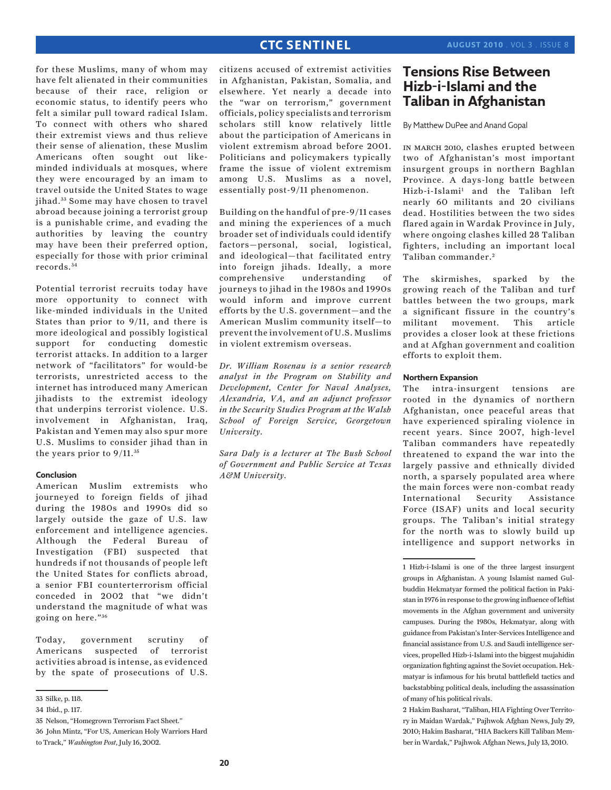for these Muslims, many of whom may have felt alienated in their communities because of their race, religion or economic status, to identify peers who felt a similar pull toward radical Islam. To connect with others who shared their extremist views and thus relieve their sense of alienation, these Muslim Americans often sought out likeminded individuals at mosques, where they were encouraged by an imam to travel outside the United States to wage jihad. 33 Some may have chosen to travel abroad because joining a terrorist group is a punishable crime, and evading the authorities by leaving the country may have been their preferred option, especially for those with prior criminal records. <sup>34</sup>

Potential terrorist recruits today have more opportunity to connect with like-minded individuals in the United States than prior to 9/11, and there is more ideological and possibly logistical support for conducting domestic terrorist attacks. In addition to a larger network of "facilitators" for would-be terrorists, unrestricted access to the internet has introduced many American jihadists to the extremist ideology that underpins terrorist violence. U.S. involvement in Afghanistan, Iraq, Pakistan and Yemen may also spur more U.S. Muslims to consider jihad than in the years prior to 9/11. <sup>35</sup>

### **Conclusion**

American Muslim extremists who journeyed to foreign fields of jihad during the 1980s and 1990s did so largely outside the gaze of U.S. law enforcement and intelligence agencies. Although the Federal Bureau of Investigation (FBI) suspected that hundreds if not thousands of people left the United States for conflicts abroad, a senior FBI counterterrorism official conceded in 2002 that "we didn't understand the magnitude of what was going on here."<sup>36</sup>

Today, government scrutiny of Americans suspected of terrorist activities abroad is intense, as evidenced by the spate of prosecutions of U.S. citizens accused of extremist activities in Afghanistan, Pakistan, Somalia, and elsewhere. Yet nearly a decade into the "war on terrorism," government officials, policy specialists and terrorism scholars still know relatively little about the participation of Americans in violent extremism abroad before 2001. Politicians and policymakers typically frame the issue of violent extremism among U.S. Muslims as a novel, essentially post-9/11 phenomenon.

Building on the handful of pre-9/11 cases and mining the experiences of a much broader set of individuals could identify factors—personal, social, logistical, and ideological—that facilitated entry into foreign jihads. Ideally, a more comprehensive understanding of journeys to jihad in the 1980s and 1990s would inform and improve current efforts by the U.S. government—and the American Muslim community itself—to prevent the involvement of U.S. Muslims in violent extremism overseas.

*Dr. William Rosenau is a senior research analyst in the Program on Stability and Development, Center for Naval Analyses, Alexandria, VA, and an adjunct professor in the Security Studies Program at the Walsh School of Foreign Service, Georgetown University.* 

*Sara Daly is a lecturer at The Bush School of Government and Public Service at Texas A&M University.*

# **Tensions Rise Between Hizb-i-Islami and the Taliban in Afghanistan**

By Matthew DuPee and Anand Gopal

in march 2010, clashes erupted between two of Afghanistan's most important insurgent groups in northern Baghlan Province. A days-long battle between Hizb-i-Islami1 and the Taliban left nearly 60 militants and 20 civilians dead. Hostilities between the two sides flared again in Wardak Province in July, where ongoing clashes killed 28 Taliban fighters, including an important local Taliban commander. <sup>2</sup>

The skirmishes, sparked by the growing reach of the Taliban and turf battles between the two groups, mark a significant fissure in the country's militant movement. This article provides a closer look at these frictions and at Afghan government and coalition efforts to exploit them.

### **Northern Expansion**

The intra-insurgent tensions are rooted in the dynamics of northern Afghanistan, once peaceful areas that have experienced spiraling violence in recent years. Since 2007, high-level Taliban commanders have repeatedly threatened to expand the war into the largely passive and ethnically divided north, a sparsely populated area where the main forces were non-combat ready International Security Assistance Force (ISAF) units and local security groups. The Taliban's initial strategy for the north was to slowly build up intelligence and support networks in

2 Hakim Basharat, "Taliban, HIA Fighting Over Territory in Maidan Wardak," Pajhwok Afghan News, July 29, 2010; Hakim Basharat, "HIA Backers Kill Taliban Member in Wardak," Pajhwok Afghan News, July 13, 2010.

<sup>33</sup> Silke, p. 118.

<sup>34</sup> Ibid., p. 117.

<sup>35</sup> Nelson, "Homegrown Terrorism Fact Sheet."

<sup>36</sup> John Mintz, "For US, American Holy Warriors Hard to Track," *Washington Post*, July 16, 2002.

<sup>1</sup> Hizb-i-Islami is one of the three largest insurgent groups in Afghanistan. A young Islamist named Gulbuddin Hekmatyar formed the political faction in Pakistan in 1976 in response to the growing influence of leftist movements in the Afghan government and university campuses. During the 1980s, Hekmatyar, along with guidance from Pakistan's Inter-Services Intelligence and financial assistance from U.S. and Saudi intelligence services, propelled Hizb-i-Islami into the biggest mujahidin organization fighting against the Soviet occupation. Hekmatyar is infamous for his brutal battlefield tactics and backstabbing political deals, including the assassination of many of his political rivals.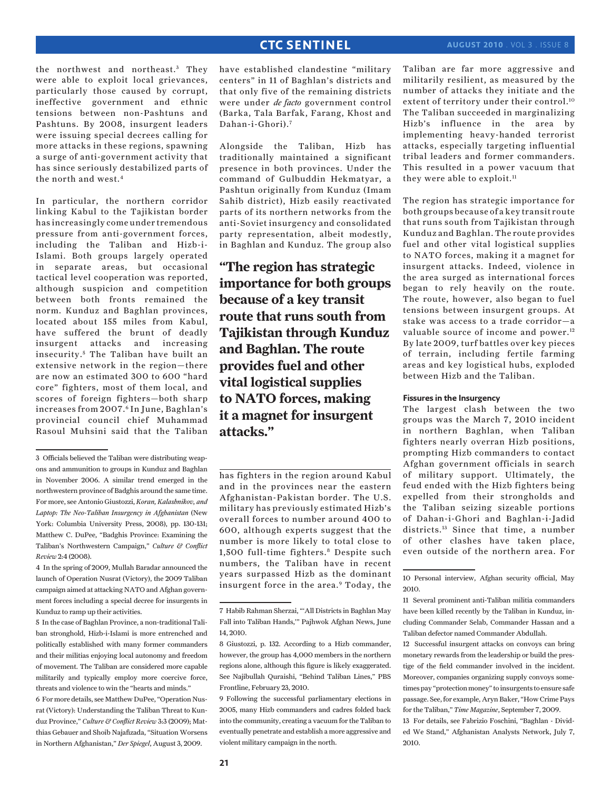the northwest and northeast.<sup>3</sup> They were able to exploit local grievances, particularly those caused by corrupt, ineffective government and ethnic tensions between non-Pashtuns and Pashtuns. By 2008, insurgent leaders were issuing special decrees calling for more attacks in these regions, spawning a surge of anti-government activity that has since seriously destabilized parts of the north and west.4

In particular, the northern corridor linking Kabul to the Tajikistan border has increasingly come under tremendous pressure from anti-government forces, including the Taliban and Hizb-i-Islami. Both groups largely operated in separate areas, but occasional tactical level cooperation was reported, although suspicion and competition between both fronts remained the norm. Kunduz and Baghlan provinces, located about 155 miles from Kabul, have suffered the brunt of deadly insurgent attacks and increasing insecurity.<sup>5</sup> The Taliban have built an extensive network in the region—there are now an estimated 300 to 600 "hard core" fighters, most of them local, and scores of foreign fighters—both sharp increases from 2007.6 In June, Baghlan's provincial council chief Muhammad Rasoul Muhsini said that the Taliban

5 In the case of Baghlan Province, a non-traditional Taliban stronghold, Hizb-i-Islami is more entrenched and politically established with many former commanders and their militias enjoying local autonomy and freedom of movement. The Taliban are considered more capable militarily and typically employ more coercive force, threats and violence to win the "hearts and minds."

6 For more details, see Matthew DuPee, "Operation Nusrat (Victory): Understanding the Taliban Threat to Kunduz Province," *Culture & Conflict Review* 3:3 (2009); Matthias Gebauer and Shoib Najafizada, "Situation Worsens in Northern Afghanistan," *Der Spiegel*, August 3, 2009.

have established clandestine "military centers" in 11 of Baghlan's districts and that only five of the remaining districts were under *de facto* government control (Barka, Tala Barfak, Farang, Khost and Dahan-i-Ghori).7

Alongside the Taliban, Hizb has traditionally maintained a significant presence in both provinces. Under the command of Gulbuddin Hekmatyar, a Pashtun originally from Kunduz (Imam Sahib district), Hizb easily reactivated parts of its northern networks from the anti-Soviet insurgency and consolidated party representation, albeit modestly, in Baghlan and Kunduz. The group also

# **"The region has strategic importance for both groups because of a key transit route that runs south from Tajikistan through Kunduz and Baghlan. The route provides fuel and other vital logistical supplies to NATO forces, making it a magnet for insurgent attacks."**

has fighters in the region around Kabul and in the provinces near the eastern Afghanistan-Pakistan border. The U.S. military has previously estimated Hizb's overall forces to number around 400 to 600, although experts suggest that the number is more likely to total close to 1,500 full-time fighters.<sup>8</sup> Despite such numbers, the Taliban have in recent years surpassed Hizb as the dominant insurgent force in the area.<sup>9</sup> Today, the Taliban are far more aggressive and militarily resilient, as measured by the number of attacks they initiate and the extent of territory under their control.<sup>10</sup> The Taliban succeeded in marginalizing Hizb's influence in the area by implementing heavy-handed terrorist attacks, especially targeting influential tribal leaders and former commanders. This resulted in a power vacuum that they were able to exploit.<sup>11</sup>

The region has strategic importance for both groups because of a key transit route that runs south from Tajikistan through Kunduz and Baghlan. The route provides fuel and other vital logistical supplies to NATO forces, making it a magnet for insurgent attacks. Indeed, violence in the area surged as international forces began to rely heavily on the route. The route, however, also began to fuel tensions between insurgent groups. At stake was access to a trade corridor—a valuable source of income and power.<sup>12</sup> By late 2009, turf battles over key pieces of terrain, including fertile farming areas and key logistical hubs, exploded between Hizb and the Taliban.

### **Fissures in the Insurgency**

The largest clash between the two groups was the March 7, 2010 incident in northern Baghlan, when Taliban fighters nearly overran Hizb positions, prompting Hizb commanders to contact Afghan government officials in search of military support. Ultimately, the feud ended with the Hizb fighters being expelled from their strongholds and the Taliban seizing sizeable portions of Dahan-i-Ghori and Baghlan-i-Jadid districts.13 Since that time, a number of other clashes have taken place, even outside of the northern area. For

<sup>3</sup> Officials believed the Taliban were distributing weapons and ammunition to groups in Kunduz and Baghlan in November 2006. A similar trend emerged in the northwestern province of Badghis around the same time. For more, see Antonio Giustozzi, *Koran, Kalashnikov, and*  Laptop: The Neo-Taliban Insurgency in Afghanistan (New York: Columbia University Press, 2008), pp. 130-131; Matthew C. DuPee, "Badghis Province: Examining the Taliban's Northwestern Campaign," *Culture & Conflict Review* 2:4 (2008).

<sup>4</sup> In the spring of 2009, Mullah Baradar announced the launch of Operation Nusrat (Victory), the 2009 Taliban campaign aimed at attacking NATO and Afghan government forces including a special decree for insurgents in Kunduz to ramp up their activities.

<sup>7</sup> Habib Rahman Sherzai, "'All Districts in Baghlan May Fall into Taliban Hands,'" Pajhwok Afghan News, June 14, 2010.

<sup>8</sup> Giustozzi, p. 132. According to a Hizb commander, however, the group has 4,000 members in the northern regions alone, although this figure is likely exaggerated. See Najibullah Quraishi, "Behind Taliban Lines," PBS Frontline, February 23, 2010.

<sup>9</sup> Following the successful parliamentary elections in 2005, many Hizb commanders and cadres folded back into the community, creating a vacuum for the Taliban to eventually penetrate and establish a more aggressive and violent military campaign in the north.

<sup>10</sup> Personal interview, Afghan security official, May 2010.

<sup>11</sup> Several prominent anti-Taliban militia commanders have been killed recently by the Taliban in Kunduz, including Commander Selab, Commander Hassan and a Taliban defector named Commander Abdullah.

<sup>12</sup> Successful insurgent attacks on convoys can bring monetary rewards from the leadership or build the prestige of the field commander involved in the incident. Moreover, companies organizing supply convoys sometimes pay "protection money" to insurgents to ensure safe passage. See, for example, Aryn Baker, "How Crime Pays for the Taliban," *Time Magazine*, September 7, 2009.

<sup>13</sup> For details, see Fabrizio Foschini, "Baghlan - Divided We Stand," Afghanistan Analysts Network, July 7, 2010.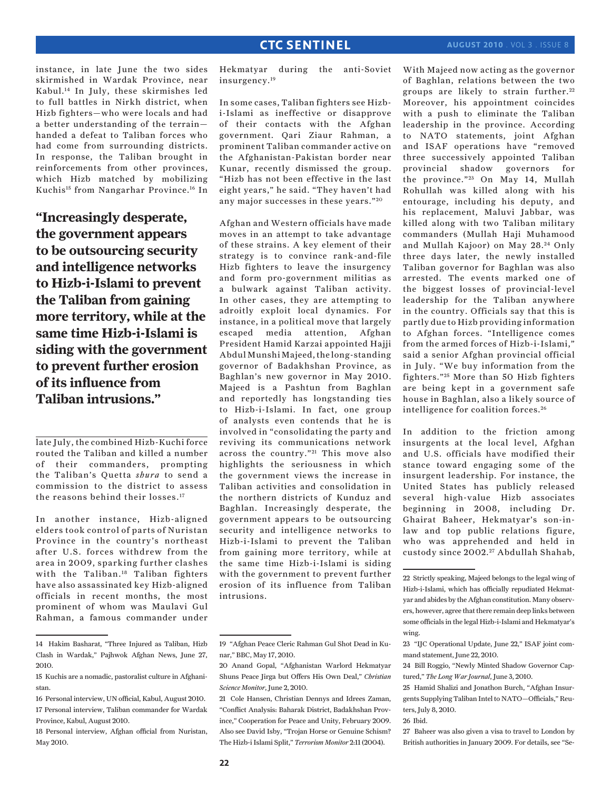instance, in late June the two sides skirmished in Wardak Province, near Kabul.14 In July, these skirmishes led to full battles in Nirkh district, when Hizb fighters—who were locals and had a better understanding of the terrain handed a defeat to Taliban forces who had come from surrounding districts. In response, the Taliban brought in reinforcements from other provinces, which Hizb matched by mobilizing Kuchis15 from Nangarhar Province.16 In

**"Increasingly desperate, the government appears to be outsourcing security and intelligence networks to Hizb-i-Islami to prevent the Taliban from gaining more territory, while at the same time Hizb-i-Islami is siding with the government to prevent further erosion of its influence from Taliban intrusions."**

late July, the combined Hizb-Kuchi force routed the Taliban and killed a number of their commanders, prompting the Taliban's Quetta *shura* to send a commission to the district to assess the reasons behind their losses.<sup>17</sup>

In another instance, Hizb-aligned elders took control of parts of Nuristan Province in the country's northeast after U.S. forces withdrew from the area in 2009, sparking further clashes with the Taliban.18 Taliban fighters have also assassinated key Hizb-aligned officials in recent months, the most prominent of whom was Maulavi Gul Rahman, a famous commander under Hekmatyar during the anti-Soviet insurgency.19

In some cases, Taliban fighters see Hizbi-Islami as ineffective or disapprove of their contacts with the Afghan government. Qari Ziaur Rahman, a prominent Taliban commander active on the Afghanistan-Pakistan border near Kunar, recently dismissed the group. "Hizb has not been effective in the last eight years," he said. "They haven't had any major successes in these years."<sup>20</sup>

Afghan and Western officials have made moves in an attempt to take advantage of these strains. A key element of their strategy is to convince rank-and-file Hizb fighters to leave the insurgency and form pro-government militias as a bulwark against Taliban activity. In other cases, they are attempting to adroitly exploit local dynamics. For instance, in a political move that largely escaped media attention, Afghan President Hamid Karzai appointed Hajji Abdul Munshi Majeed, the long-standing governor of Badakhshan Province, as Baghlan's new governor in May 2010. Majeed is a Pashtun from Baghlan and reportedly has longstanding ties to Hizb-i-Islami. In fact, one group of analysts even contends that he is involved in "consolidating the party and reviving its communications network across the country."<sup>21</sup> This move also highlights the seriousness in which the government views the increase in Taliban activities and consolidation in the northern districts of Kunduz and Baghlan. Increasingly desperate, the government appears to be outsourcing security and intelligence networks to Hizb-i-Islami to prevent the Taliban from gaining more territory, while at the same time Hizb-i-Islami is siding with the government to prevent further erosion of its influence from Taliban intrusions.

With Majeed now acting as the governor of Baghlan, relations between the two groups are likely to strain further. <sup>22</sup> Moreover, his appointment coincides with a push to eliminate the Taliban leadership in the province. According to NATO statements, joint Afghan and ISAF operations have "removed three successively appointed Taliban provincial shadow governors for the province."<sup>23</sup> On May 14, Mullah Rohullah was killed along with his entourage, including his deputy, and his replacement, Maluvi Jabbar, was killed along with two Taliban military commanders (Mullah Haji Muhamood and Mullah Kajoor) on May 28.24 Only three days later, the newly installed Taliban governor for Baghlan was also arrested. The events marked one of the biggest losses of provincial-level leadership for the Taliban anywhere in the country. Officials say that this is partly due to Hizb providing information to Afghan forces. "Intelligence comes from the armed forces of Hizb-i-Islami," said a senior Afghan provincial official in July. "We buy information from the fighters."<sup>25</sup> More than 50 Hizb fighters are being kept in a government safe house in Baghlan, also a likely source of intelligence for coalition forces. <sup>26</sup>

In addition to the friction among insurgents at the local level, Afghan and U.S. officials have modified their stance toward engaging some of the insurgent leadership. For instance, the United States has publicly released several high-value Hizb associates beginning in 2008, including Dr. Ghairat Baheer, Hekmatyar's son-inlaw and top public relations figure, who was apprehended and held in custody since 2002.<sup>27</sup> Abdullah Shahab,

27 Baheer was also given a visa to travel to London by British authorities in January 2009. For details, see "Se-

<sup>14</sup> Hakim Basharat, "Three Injured as Taliban, Hizb Clash in Wardak," Pajhwok Afghan News, June 27, 2010.

<sup>15</sup> Kuchis are a nomadic, pastoralist culture in Afghanistan.

<sup>16</sup> Personal interview, UN official, Kabul, August 2010. 17 Personal interview, Taliban commander for Wardak Province, Kabul, August 2010.

<sup>18</sup> Personal interview, Afghan official from Nuristan, May 2010.

<sup>19 &</sup>quot;Afghan Peace Cleric Rahman Gul Shot Dead in Kunar," BBC, May 17, 2010.

<sup>20</sup> Anand Gopal, "Afghanistan Warlord Hekmatyar Shuns Peace Jirga but Offers His Own Deal," *Christian Science Monitor*, June 2, 2010.

<sup>21</sup> Cole Hansen, Christian Dennys and Idrees Zaman, "Conflict Analysis: Baharak District, Badakhshan Province," Cooperation for Peace and Unity, February 2009. Also see David Isby, "Trojan Horse or Genuine Schism? The Hizb-i Islami Split," *Terrorism Monitor* 2:11 (2004).

<sup>22</sup> Strictly speaking, Majeed belongs to the legal wing of Hizb-i-Islami, which has officially repudiated Hekmatyar and abides by the Afghan constitution. Many observers, however, agree that there remain deep links between some officials in the legal Hizb-i-Islami and Hekmatyar's wing.

<sup>23 &</sup>quot;IJC Operational Update, June 22," ISAF joint command statement, June 22, 2010.

<sup>24</sup> Bill Roggio, "Newly Minted Shadow Governor Captured," *The Long War Journal*, June 3, 2010.

<sup>25</sup> Hamid Shalizi and Jonathon Burch, "Afghan Insurgents Supplying Taliban Intel to NATO—Officials," Reuters, July 8, 2010.

<sup>26</sup> Ibid.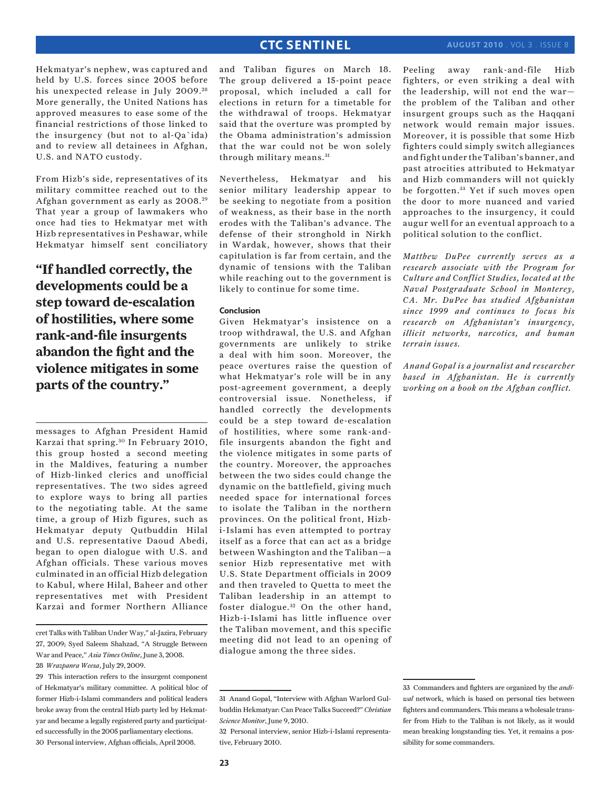Hekmatyar's nephew, was captured and held by U.S. forces since 2005 before his unexpected release in July 2009.<sup>28</sup> More generally, the United Nations has approved measures to ease some of the financial restrictions of those linked to the insurgency (but not to al-Qa`ida)

From Hizb's side, representatives of its military committee reached out to the Afghan government as early as 2008.<sup>29</sup> That year a group of lawmakers who once had ties to Hekmatyar met with Hizb representatives in Peshawar, while Hekmatyar himself sent conciliatory

and to review all detainees in Afghan,

U.S. and NATO custody.

**"If handled correctly, the developments could be a step toward de-escalation of hostilities, where some rank-and-file insurgents abandon the fight and the violence mitigates in some parts of the country."**

messages to Afghan President Hamid Karzai that spring. 30 In February 2010, this group hosted a second meeting in the Maldives, featuring a number of Hizb-linked clerics and unofficial representatives. The two sides agreed to explore ways to bring all parties to the negotiating table. At the same time, a group of Hizb figures, such as Hekmatyar deputy Qutbuddin Hilal and U.S. representative Daoud Abedi, began to open dialogue with U.S. and Afghan officials. These various moves culminated in an official Hizb delegation to Kabul, where Hilal, Baheer and other representatives met with President Karzai and former Northern Alliance

cret Talks with Taliban Under Way," al-Jazira, February 27, 2009; Syed Saleem Shahzad, "A Struggle Between War and Peace," *Asia Times Online*, June 3, 2008.

28 *Wrazpanra Weesa*, July 29, 2009.

and Taliban figures on March 18. The group delivered a 15-point peace proposal, which included a call for elections in return for a timetable for the withdrawal of troops. Hekmatyar said that the overture was prompted by the Obama administration's admission that the war could not be won solely through military means.<sup>31</sup>

Nevertheless, Hekmatyar and his senior military leadership appear to be seeking to negotiate from a position of weakness, as their base in the north erodes with the Taliban's advance. The defense of their stronghold in Nirkh in Wardak, however, shows that their capitulation is far from certain, and the dynamic of tensions with the Taliban while reaching out to the government is likely to continue for some time.

### **Conclusion**

Given Hekmatyar's insistence on a troop withdrawal, the U.S. and Afghan governments are unlikely to strike a deal with him soon. Moreover, the peace overtures raise the question of what Hekmatyar's role will be in any post-agreement government, a deeply controversial issue. Nonetheless, if handled correctly the developments could be a step toward de-escalation of hostilities, where some rank-andfile insurgents abandon the fight and the violence mitigates in some parts of the country. Moreover, the approaches between the two sides could change the dynamic on the battlefield, giving much needed space for international forces to isolate the Taliban in the northern provinces. On the political front, Hizbi-Islami has even attempted to portray itself as a force that can act as a bridge between Washington and the Taliban—a senior Hizb representative met with U.S. State Department officials in 2009 and then traveled to Quetta to meet the Taliban leadership in an attempt to foster dialogue.<sup>32</sup> On the other hand, Hizb-i-Islami has little influence over the Taliban movement, and this specific meeting did not lead to an opening of dialogue among the three sides.

Peeling away rank-and-file Hizb fighters, or even striking a deal with the leadership, will not end the war the problem of the Taliban and other insurgent groups such as the Haqqani network would remain major issues. Moreover, it is possible that some Hizb fighters could simply switch allegiances and fight under the Taliban's banner, and past atrocities attributed to Hekmatyar and Hizb commanders will not quickly be forgotten. 33 Yet if such moves open the door to more nuanced and varied approaches to the insurgency, it could augur well for an eventual approach to a political solution to the conflict.

*Matthew DuPee currently serves as a research associate with the Program for Culture and Conflict Studies, located at the Naval Postgraduate School in Monterey, CA. Mr. DuPee has studied Afghanistan since 1999 and continues to focus his research on Afghanistan's insurgency, illicit networks, narcotics, and human terrain issues.* 

*Anand Gopal is a journalist and researcher based in Afghanistan. He is currently working on a book on the Afghan conflict.*

<sup>29</sup> This interaction refers to the insurgent component of Hekmatyar's military committee. A political bloc of former Hizb-i-Islami commanders and political leaders broke away from the central Hizb party led by Hekmatyar and became a legally registered party and participated successfully in the 2005 parliamentary elections. 30 Personal interview, Afghan officials, April 2008.

<sup>31</sup> Anand Gopal, "Interview with Afghan Warlord Gulbuddin Hekmatyar: Can Peace Talks Succeed?" *Christian Science Monitor*, June 9, 2010.

<sup>32</sup> Personal interview, senior Hizb-i-Islami representative, February 2010.

<sup>33</sup> Commanders and fighters are organized by the *andiwal* network, which is based on personal ties between fighters and commanders. This means a wholesale transfer from Hizb to the Taliban is not likely, as it would mean breaking longstanding ties. Yet, it remains a possibility for some commanders.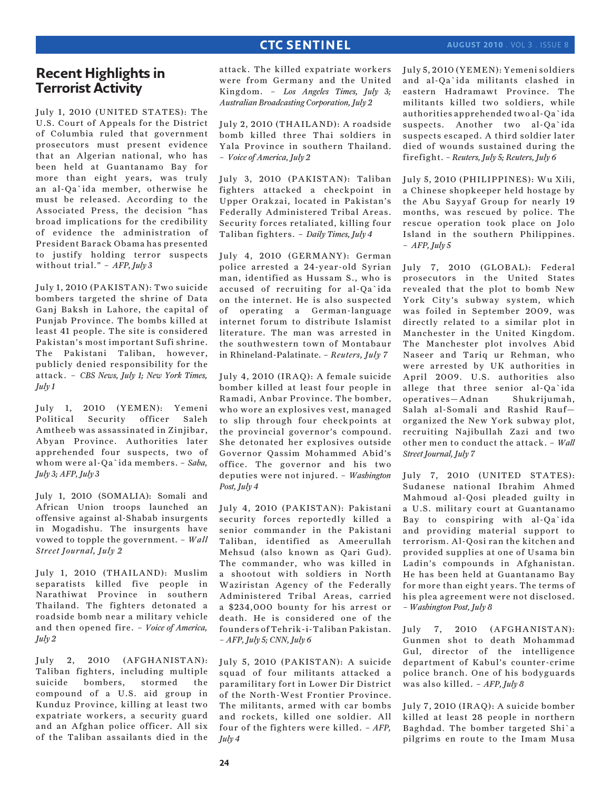### **august 2010** . Vol 3 . Issue 8

# **Recent Highlights in Terrorist Activity**

July 1, 2010 (UNITED STATES): The U.S. Court of Appeals for the District of Columbia ruled that government prosecutors must present evidence that an Algerian national, who has been held at Guantanamo Bay for more than eight years, was truly an al-Qa`ida member, otherwise he must be released. According to the Associated Press, the decision "has broad implications for the credibility of evidence the administration of President Barack Obama has presented to justify holding terror suspects without trial." – *AFP, July 3*

July 1, 2010 (PAKISTAN): Two suicide bombers targeted the shrine of Data Ganj Baksh in Lahore, the capital of Punjab Province. The bombs killed at least 41 people. The site is considered Pakistan's most important Sufi shrine. The Pakistani Taliban, however, publicly denied responsibility for the attack. – *CBS News, July 1; New York Times, July 1*

July 1, 2010 (YEMEN): Yemeni Political Security officer Saleh Amtheeb was assassinated in Zinjibar, Abyan Province. Authorities later apprehended four suspects, two of whom were al-Qa`ida members. – *Saba, July 3; AFP, July 3*

July 1, 2010 (SOMALIA): Somali and African Union troops launched an offensive against al-Shabab insurgents in Mogadishu. The insurgents have vowed to topple the government. – *Wall Street Journal, July 2*

July 1, 2010 (THAILAND): Muslim separatists killed five people in Narathiwat Province in southern Thailand. The fighters detonated a roadside bomb near a military vehicle and then opened fire. – *Voice of America, July 2*

July 2, 2010 (AFGHANISTAN): Taliban fighters, including multiple suicide bombers, stormed the compound of a U.S. aid group in Kunduz Province, killing at least two expatriate workers, a security guard and an Afghan police officer. All six of the Taliban assailants died in the

attack. The killed expatriate workers were from Germany and the United Kingdom. – *Los Angeles Times, July 3; Australian Broadcasting Corporation, July 2*

July 2, 2010 (THAILAND): A roadside bomb killed three Thai soldiers in Yala Province in southern Thailand. – *Voice of America, July 2*

July 3, 2010 (PAKISTAN): Taliban fighters attacked a checkpoint in Upper Orakzai, located in Pakistan's Federally Administered Tribal Areas. Security forces retaliated, killing four Taliban fighters. – *Daily Times, July 4*

July 4, 2010 (GERMANY): German police arrested a 24-year-old Syrian man, identified as Hussam S., who is accused of recruiting for al-Qa`ida on the internet. He is also suspected of operating a German-language internet forum to distribute Islamist literature. The man was arrested in the southwestern town of Montabaur in Rhineland-Palatinate. – *Reuters, July 7*

July 4, 2010 (IRAQ): A female suicide bomber killed at least four people in Ramadi, Anbar Province. The bomber, who wore an explosives vest, managed to slip through four checkpoints at the provincial governor's compound. She detonated her explosives outside Governor Qassim Mohammed Abid's office. The governor and his two deputies were not injured. – *Washington Post, July 4*

July 4, 2010 (PAKISTAN): Pakistani security forces reportedly killed a senior commander in the Pakistani Taliban, identified as Ameerullah Mehsud (also known as Qari Gud). The commander, who was killed in a shootout with soldiers in North Waziristan Agency of the Federally Administered Tribal Areas, carried a \$234,000 bounty for his arrest or death. He is considered one of the founders of Tehrik-i-Taliban Pakistan. *– AFP, July 5; CNN, July 6*

July 5, 2010 (PAKISTAN): A suicide squad of four militants attacked a paramilitary fort in Lower Dir District of the North-West Frontier Province. The militants, armed with car bombs and rockets, killed one soldier. All four of the fighters were killed. – *AFP, July 4*

July 5, 2010 (YEMEN): Yemeni soldiers and al-Qa`ida militants clashed in eastern Hadramawt Province. The militants killed two soldiers, while authorities apprehended two al-Qa`ida suspects. Another two al-Qa`ida suspects escaped. A third soldier later died of wounds sustained during the firefight. *– Reuters, July 5; Reuters, July 6*

July 5, 2010 (PHILIPPINES): Wu Xili, a Chinese shopkeeper held hostage by the Abu Sayyaf Group for nearly 19 months, was rescued by police. The rescue operation took place on Jolo Island in the southern Philippines. – *AFP, July 5*

July 7, 2010 (GLOBAL): Federal prosecutors in the United States revealed that the plot to bomb New York City's subway system, which was foiled in September 2009, was directly related to a similar plot in Manchester in the United Kingdom. The Manchester plot involves Abid Naseer and Tariq ur Rehman, who were arrested by UK authorities in April 2009. U.S. authorities also allege that three senior al-Qa`ida operatives—Adnan Shukrijumah, Salah al-Somali and Rashid Rauf organized the New York subway plot, recruiting Najibullah Zazi and two other men to conduct the attack. – *Wall Street Journal, July 7*

July 7, 2010 (UNITED STATES): Sudanese national Ibrahim Ahmed Mahmoud al-Qosi pleaded guilty in a U.S. military court at Guantanamo Bay to conspiring with al-Qa`ida and providing material support to terrorism. Al-Qosi ran the kitchen and provided supplies at one of Usama bin Ladin's compounds in Afghanistan. He has been held at Guantanamo Bay for more than eight years. The terms of his plea agreement were not disclosed. *– Washington Post, July 8*

July 7, 2010 (AFGHANISTAN): Gunmen shot to death Mohammad Gul, director of the intelligence department of Kabul's counter-crime police branch. One of his bodyguards was also killed. – *AFP, July 8*

July 7, 2010 (IRAQ): A suicide bomber killed at least 28 people in northern Baghdad. The bomber targeted Shi`a pilgrims en route to the Imam Musa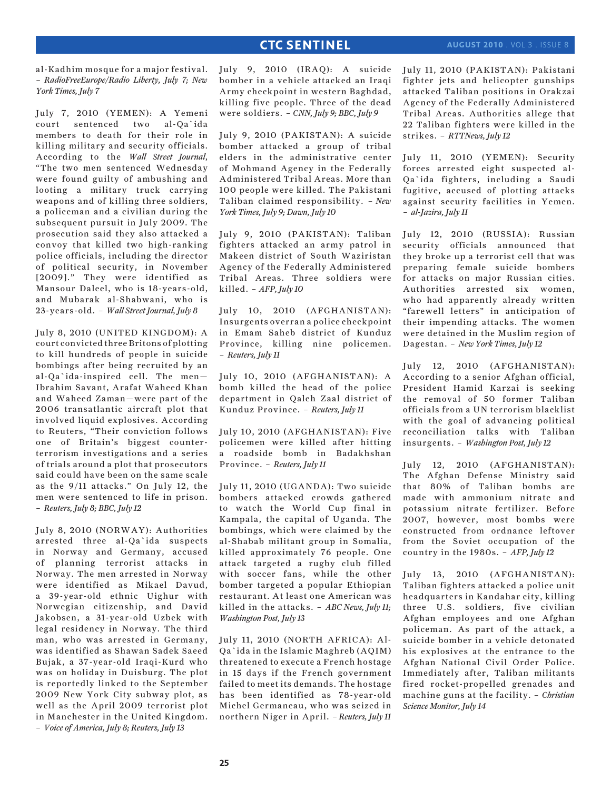al-Kadhim mosque for a major festival. *– RadioFreeEurope/Radio Liberty, July 7; New York Times, July 7*

July 7, 2010 (YEMEN): A Yemeni court sentenced two al-Qa`ida members to death for their role in killing military and security officials. According to the *Wall Street Journal*, "The two men sentenced Wednesday were found guilty of ambushing and looting a military truck carrying weapons and of killing three soldiers, a policeman and a civilian during the subsequent pursuit in July 2009. The prosecution said they also attacked a convoy that killed two high-ranking police officials, including the director of political security, in November [2009]." They were identified as Mansour Daleel, who is 18-years-old, and Mubarak al-Shabwani, who is 23-years-old. – *Wall Street Journal, July 8*

July 8, 2010 (UNITED KINGDOM): A court convicted three Britons of plotting to kill hundreds of people in suicide bombings after being recruited by an al-Qa`ida-inspired cell. The men— Ibrahim Savant, Arafat Waheed Khan and Waheed Zaman—were part of the 2006 transatlantic aircraft plot that involved liquid explosives. According to Reuters, "Their conviction follows one of Britain's biggest counterterrorism investigations and a series of trials around a plot that prosecutors said could have been on the same scale as the 9/11 attacks." On July 12, the men were sentenced to life in prison. – *Reuters, July 8; BBC, July 12*

July 8, 2010 (NORWAY): Authorities arrested three al-Qa`ida suspects in Norway and Germany, accused of planning terrorist attacks in Norway. The men arrested in Norway were identified as Mikael Davud, a 39-year-old ethnic Uighur with Norwegian citizenship, and David Jakobsen, a 31-year-old Uzbek with legal residency in Norway. The third man, who was arrested in Germany, was identified as Shawan Sadek Saeed Bujak, a 37-year-old Iraqi-Kurd who was on holiday in Duisburg. The plot is reportedly linked to the September 2009 New York City subway plot, as well as the April 2009 terrorist plot in Manchester in the United Kingdom. – *Voice of America, July 8; Reuters, July 13*

July 9, 2010 (IRAQ): A suicide bomber in a vehicle attacked an Iraqi Army checkpoint in western Baghdad, killing five people. Three of the dead were soldiers. – *CNN, July 9; BBC, July 9*

July 9, 2010 (PAKISTAN): A suicide bomber attacked a group of tribal elders in the administrative center of Mohmand Agency in the Federally Administered Tribal Areas. More than 100 people were killed. The Pakistani Taliban claimed responsibility. *– New York Times, July 9; Dawn, July 10*

July 9, 2010 (PAKISTAN): Taliban fighters attacked an army patrol in Makeen district of South Waziristan Agency of the Federally Administered Tribal Areas. Three soldiers were killed. – *AFP, July 10*

July 10, 2010 (AFGHANISTAN): Insurgents overran a police checkpoint in Emam Saheb district of Kunduz Province, killing nine policemen. – *Reuters, July 11*

July 10, 2010 (AFGHANISTAN): A bomb killed the head of the police department in Qaleh Zaal district of Kunduz Province. – *Reuters, July 11*

July 10, 2010 (AFGHANISTAN): Five policemen were killed after hitting a roadside bomb in Badakhshan Province. – *Reuters, July 11*

July 11, 2010 (UGANDA): Two suicide bombers attacked crowds gathered to watch the World Cup final in Kampala, the capital of Uganda. The bombings, which were claimed by the al-Shabab militant group in Somalia, killed approximately 76 people. One attack targeted a rugby club filled with soccer fans, while the other bomber targeted a popular Ethiopian restaurant. At least one American was killed in the attacks. – *ABC News, July 11; Washington Post, July 13*

July 11, 2010 (NORTH AFRICA): Al-Qa`ida in the Islamic Maghreb (AQIM) threatened to execute a French hostage in 15 days if the French government failed to meet its demands. The hostage has been identified as 78-year-old Michel Germaneau, who was seized in northern Niger in April. *– Reuters, July 11*

July 11, 2010 (PAKISTAN): Pakistani fighter jets and helicopter gunships attacked Taliban positions in Orakzai Agency of the Federally Administered Tribal Areas. Authorities allege that 22 Taliban fighters were killed in the strikes. – *RTTNews, July 12*

July 11, 2010 (YEMEN): Security forces arrested eight suspected al-Qa`ida fighters, including a Saudi fugitive, accused of plotting attacks against security facilities in Yemen. – *al-Jazira, July 11*

July 12, 2010 (RUSSIA): Russian security officials announced that they broke up a terrorist cell that was preparing female suicide bombers for attacks on major Russian cities. Authorities arrested six women, who had apparently already written "farewell letters" in anticipation of their impending attacks. The women were detained in the Muslim region of Dagestan. – *New York Times, July 12*

July 12, 2010 (AFGHANISTAN): According to a senior Afghan official, President Hamid Karzai is seeking the removal of 50 former Taliban officials from a UN terrorism blacklist with the goal of advancing political reconciliation talks with Taliban insurgents. – *Washington Post, July 12*

July 12, 2010 (AFGHANISTAN): The Afghan Defense Ministry said that 80% of Taliban bombs are made with ammonium nitrate and potassium nitrate fertilizer. Before 2007, however, most bombs were constructed from ordnance leftover from the Soviet occupation of the country in the 1980s. – *AFP, July 12*

July 13, 2010 (AFGHANISTAN): Taliban fighters attacked a police unit headquarters in Kandahar city, killing three U.S. soldiers, five civilian Afghan employees and one Afghan policeman. As part of the attack, a suicide bomber in a vehicle detonated his explosives at the entrance to the Afghan National Civil Order Police. Immediately after, Taliban militants fired rocket-propelled grenades and machine guns at the facility. – *Christian Science Monitor, July 14*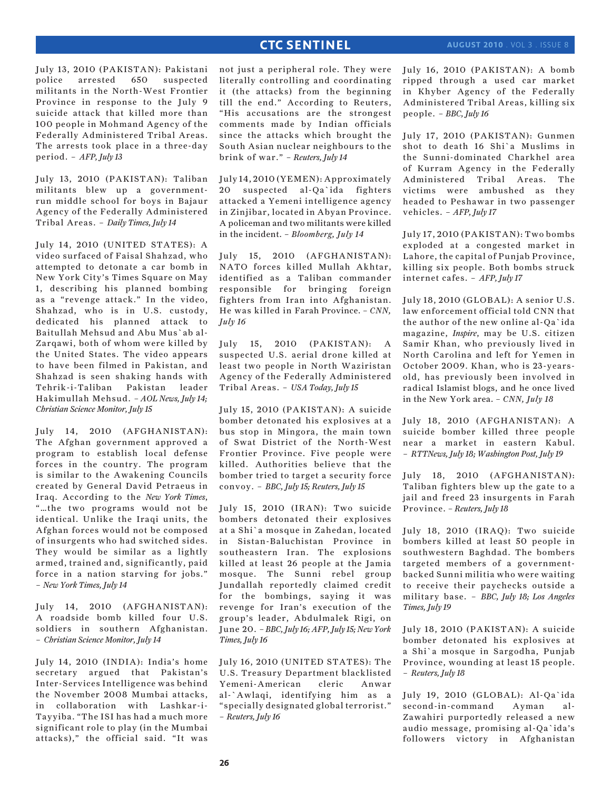July 13, 2010 (PAKISTAN): Pakistani police arrested 650 suspected militants in the North-West Frontier Province in response to the July 9 suicide attack that killed more than 100 people in Mohmand Agency of the Federally Administered Tribal Areas. The arrests took place in a three-day period. – *AFP, July 13*

July 13, 2010 (PAKISTAN): Taliban militants blew up a governmentrun middle school for boys in Bajaur Agency of the Federally Administered Tribal Areas. – *Daily Times, July 14*

July 14, 2010 (UNITED STATES): A video surfaced of Faisal Shahzad, who attempted to detonate a car bomb in New York City's Times Square on May 1, describing his planned bombing as a "revenge attack." In the video, Shahzad, who is in U.S. custody, dedicated his planned attack to Baitullah Mehsud and Abu Mus`ab al-Zarqawi, both of whom were killed by the United States. The video appears to have been filmed in Pakistan, and Shahzad is seen shaking hands with Tehrik-i-Taliban Pakistan leader Hakimullah Mehsud. *– AOL News, July 14; Christian Science Monitor, July 15*

July 14, 2010 (AFGHANISTAN): The Afghan government approved a program to establish local defense forces in the country. The program is similar to the Awakening Councils created by General David Petraeus in Iraq. According to the *New York Times*, "…the two programs would not be identical. Unlike the Iraqi units, the Afghan forces would not be composed of insurgents who had switched sides. They would be similar as a lightly armed, trained and, significantly, paid force in a nation starving for jobs." – *New York Times, July 14*

July 14, 2010 (AFGHANISTAN): A roadside bomb killed four U.S. soldiers in southern Afghanistan. – *Christian Science Monitor, July 14*

July 14, 2010 (INDIA): India's home secretary argued that Pakistan's Inter-Services Intelligence was behind the November 2008 Mumbai attacks, in collaboration with Lashkar-i-Tayyiba. "The ISI has had a much more significant role to play (in the Mumbai attacks)," the official said. "It was

not just a peripheral role. They were literally controlling and coordinating it (the attacks) from the beginning till the end." According to Reuters, "His accusations are the strongest comments made by Indian officials since the attacks which brought the South Asian nuclear neighbours to the brink of war." – *Reuters, July 14*

July 14, 2010 (YEMEN): Approximately 20 suspected al-Qa`ida fighters attacked a Yemeni intelligence agency in Zinjibar, located in Abyan Province. A policeman and two militants were killed in the incident. – *Bloomberg, July 14*

July 15, 2010 (AFGHANISTAN): NATO forces killed Mullah Akhtar, identified as a Taliban commander responsible for bringing foreign fighters from Iran into Afghanistan. He was killed in Farah Province. – *CNN, July 16*

July 15, 2010 (PAKISTAN): A suspected U.S. aerial drone killed at least two people in North Waziristan Agency of the Federally Administered Tribal Areas. – *USA Today, July 15*

July 15, 2010 (PAKISTAN): A suicide bomber detonated his explosives at a bus stop in Mingora, the main town of Swat District of the North-West Frontier Province. Five people were killed. Authorities believe that the bomber tried to target a security force convoy. – *BBC, July 15; Reuters, July 15*

July 15, 2010 (IRAN): Two suicide bombers detonated their explosives at a Shi`a mosque in Zahedan, located in Sistan-Baluchistan Province in southeastern Iran. The explosions killed at least 26 people at the Jamia mosque. The Sunni rebel group Jundallah reportedly claimed credit for the bombings, saying it was revenge for Iran's execution of the group's leader, Abdulmalek Rigi, on June 20. *– BBC, July 16; AFP, July 15; New York Times, July 16*

July 16, 2010 (UNITED STATES): The U.S. Treasury Department blacklisted Yemeni-American cleric Anwar al-`Awlaqi, identifying him as a "specially designated global terrorist." – *Reuters, July 16*

July 16, 2010 (PAKISTAN): A bomb ripped through a used car market in Khyber Agency of the Federally Administered Tribal Areas, killing six people. – *BBC, July 16*

July 17, 2010 (PAKISTAN): Gunmen shot to death 16 Shi`a Muslims in the Sunni-dominated Charkhel area of Kurram Agency in the Federally Administered Tribal Areas. The victims were ambushed as they headed to Peshawar in two passenger vehicles. – *AFP, July 17*

July 17, 2010 (PAKISTAN): Two bombs exploded at a congested market in Lahore, the capital of Punjab Province, killing six people. Both bombs struck internet cafes. – *AFP, July 17*

July 18, 2010 (GLOBAL): A senior U.S. law enforcement official told CNN that the author of the new online al-Qa`ida magazine, *Inspire*, may be U.S. citizen Samir Khan, who previously lived in North Carolina and left for Yemen in October 2009. Khan, who is 23-yearsold, has previously been involved in radical Islamist blogs, and he once lived in the New York area. *– CNN, July 18*

July 18, 2010 (AFGHANISTAN): A suicide bomber killed three people near a market in eastern Kabul. – *RTTNews, July 18; Washington Post, July 19*

July 18, 2010 (AFGHANISTAN): Taliban fighters blew up the gate to a jail and freed 23 insurgents in Farah Province. *– Reuters, July 18*

July 18, 2010 (IRAQ): Two suicide bombers killed at least 50 people in southwestern Baghdad. The bombers targeted members of a governmentbacked Sunni militia who were waiting to receive their paychecks outside a military base. – *BBC, July 18; Los Angeles Times, July 19*

July 18, 2010 (PAKISTAN): A suicide bomber detonated his explosives at a Shi`a mosque in Sargodha, Punjab Province, wounding at least 15 people. – *Reuters, July 18*

July 19, 2010 (GLOBAL): Al-Qa`ida second-in-command Ayman al-Zawahiri purportedly released a new audio message, promising al-Qa`ida's followers victory in Afghanistan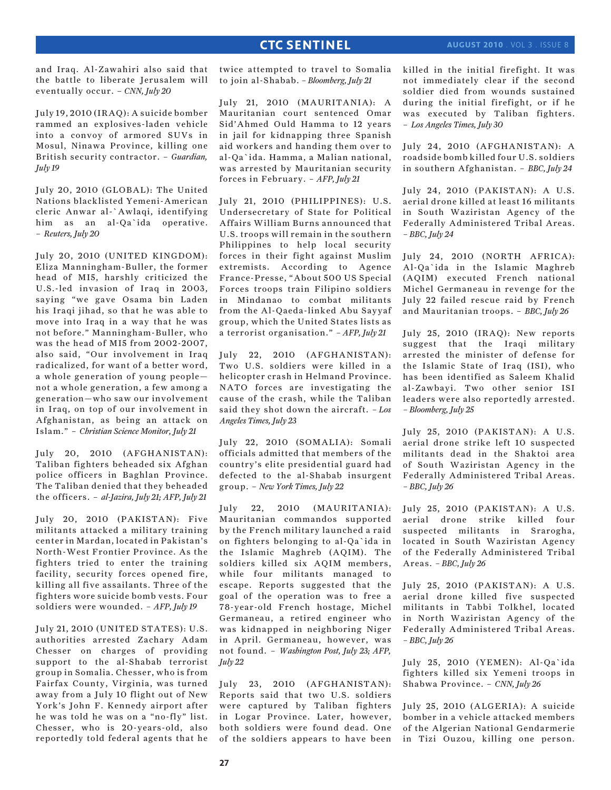### forces in February. – *AFP, July 21*

July 21, 2010 (PHILIPPINES): U.S. Undersecretary of State for Political Affairs William Burns announced that U.S. troops will remain in the southern Philippines to help local security forces in their fight against Muslim extremists. According to Agence France-Presse, "About 500 US Special Forces troops train Filipino soldiers in Mindanao to combat militants from the Al-Qaeda-linked Abu Sayyaf group, which the United States lists as a terrorist organisation." *– AFP, July 21*

twice attempted to travel to Somalia to join al-Shabab. *– Bloomberg, July 21*

**CTC SENTINEL** 

July 21, 2010 (MAURITANIA): A Mauritanian court sentenced Omar Sid'Ahmed Ould Hamma to 12 years in jail for kidnapping three Spanish aid workers and handing them over to al-Qa`ida. Hamma, a Malian national, was arrested by Mauritanian security

July 22, 2010 (AFGHANISTAN): Two U.S. soldiers were killed in a helicopter crash in Helmand Province. NATO forces are investigating the cause of the crash, while the Taliban said they shot down the aircraft. *– Los Angeles Times, July 23*

July 22, 2010 (SOMALIA): Somali officials admitted that members of the country's elite presidential guard had defected to the al-Shabab insurgent group. – *New York Times, July 22*

July 22, 2010 (MAURITANIA): Mauritanian commandos supported by the French military launched a raid on fighters belonging to al-Qa`ida in the Islamic Maghreb (AQIM). The soldiers killed six AQIM members, while four militants managed to escape. Reports suggested that the goal of the operation was to free a 78-year-old French hostage, Michel Germaneau, a retired engineer who was kidnapped in neighboring Niger in April. Germaneau, however, was not found. – *Washington Post, July 23; AFP, July 22*

July 23, 2010 (AFGHANISTAN): Reports said that two U.S. soldiers were captured by Taliban fighters in Logar Province. Later, however, both soldiers were found dead. One of the soldiers appears to have been

killed in the initial firefight. It was not immediately clear if the second soldier died from wounds sustained during the initial firefight, or if he was executed by Taliban fighters. – *Los Angeles Times, July 30*

July 24, 2010 (AFGHANISTAN): A roadside bomb killed four U.S. soldiers in southern Afghanistan. – *BBC, July 24*

July 24, 2010 (PAKISTAN): A U.S. aerial drone killed at least 16 militants in South Waziristan Agency of the Federally Administered Tribal Areas. *– BBC, July 24*

July 24, 2010 (NORTH AFRICA): Al-Qa`ida in the Islamic Maghreb (AQIM) executed French national Michel Germaneau in revenge for the July 22 failed rescue raid by French and Mauritanian troops. – *BBC, July 26*

July 25, 2010 (IRAQ): New reports suggest that the Iraqi military arrested the minister of defense for the Islamic State of Iraq (ISI), who has been identified as Saleem Khalid al-Zawbayi. Two other senior ISI leaders were also reportedly arrested. *– Bloomberg, July 25*

July 25, 2010 (PAKISTAN): A U.S. aerial drone strike left 10 suspected militants dead in the Shaktoi area of South Waziristan Agency in the Federally Administered Tribal Areas. *– BBC, July 26*

July 25, 2010 (PAKISTAN): A U.S. aerial drone strike killed four suspected militants in Srarogha, located in South Waziristan Agency of the Federally Administered Tribal Areas. *– BBC, July 26*

July 25, 2010 (PAKISTAN): A U.S. aerial drone killed five suspected militants in Tabbi Tolkhel, located in North Waziristan Agency of the Federally Administered Tribal Areas. *– BBC, July 26*

July 25, 2010 (YEMEN): Al-Qa`ida fighters killed six Yemeni troops in Shabwa Province. – *CNN, July 26*

July 25, 2010 (ALGERIA): A suicide bomber in a vehicle attacked members of the Algerian National Gendarmerie in Tizi Ouzou, killing one person.

and Iraq. Al-Zawahiri also said that the battle to liberate Jerusalem will eventually occur. – *CNN, July 20*

July 19, 2010 (IRAQ): A suicide bomber rammed an explosives-laden vehicle into a convoy of armored SUVs in Mosul, Ninawa Province, killing one British security contractor. – *Guardian, July 19*

July 20, 2010 (GLOBAL): The United Nations blacklisted Yemeni-American cleric Anwar al-`Awlaqi, identifying him as an al-Qa`ida operative. – *Reuters, July 20*

July 20, 2010 (UNITED KINGDOM): Eliza Manningham-Buller, the former head of MI5, harshly criticized the U.S.-led invasion of Iraq in 2003, saying "we gave Osama bin Laden his Iraqi jihad, so that he was able to move into Iraq in a way that he was not before." Manningham-Buller, who was the head of MI5 from 2002-2007, also said, "Our involvement in Iraq radicalized, for want of a better word, a whole generation of young people not a whole generation, a few among a generation—who saw our involvement in Iraq, on top of our involvement in Afghanistan, as being an attack on Islam." – *Christian Science Monitor, July 21*

July 20, 2010 (AFGHANISTAN): Taliban fighters beheaded six Afghan police officers in Baghlan Province. The Taliban denied that they beheaded the officers. – *al-Jazira, July 21; AFP, July 21*

July 20, 2010 (PAKISTAN): Five militants attacked a military training center in Mardan, located in Pakistan's North-West Frontier Province. As the fighters tried to enter the training facility, security forces opened fire, killing all five assailants. Three of the fighters wore suicide bomb vests. Four soldiers were wounded. – *AFP, July 19*

July 21, 2010 (UNITED STATES): U.S. authorities arrested Zachary Adam Chesser on charges of providing support to the al-Shabab terrorist group in Somalia. Chesser, who is from Fairfax County, Virginia, was turned away from a July 10 flight out of New York's John F. Kennedy airport after he was told he was on a "no-fly" list. Chesser, who is 20-years-old, also reportedly told federal agents that he